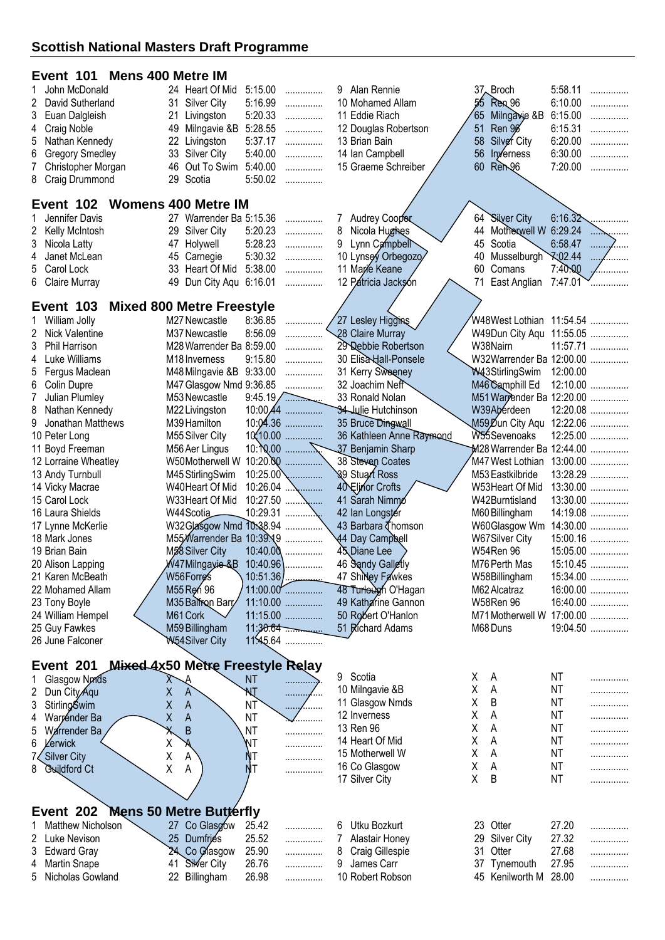# **Event 101 Mens 400 Metre IM**

| 1 John McDonald      | 24 Heart Of Mid 5:15.00 |         | .       |
|----------------------|-------------------------|---------|---------|
| 2 David Sutherland   | 31 Silver City          |         | 5:16.99 |
| 3 Euan Dalgleish     | 21 Livingston           |         | 5:20.33 |
| 4 Craig Noble        | 49 Milngavie &B 5:28.55 |         |         |
| 5 Nathan Kennedy     | 22 Livingston           | 5:37.17 | .       |
| 6 Gregory Smedley    | 33 Silver City          |         | 5:40.00 |
| 7 Christopher Morgan | 46 Out To Swim 5:40.00  |         | .       |
| 8 Craig Drummond     | 29 Scotia               | 5:50.02 | .       |

#### **Event 102 Womens 400 Metre IM**

| 1 Jennifer Davis | 27 Warrender Ba 5:15.36 |  |
|------------------|-------------------------|--|
| 2 Kelly McIntosh | 29 Silver City 5:20.23  |  |
| 3 Nicola Latty   | 47 Holywell 5:28.23     |  |
| 4 Janet McLean   | 45 Carnegie 5:30.32     |  |
| 5 Carol Lock     | 33 Heart Of Mid 5:38.00 |  |
| 6 Claire Murray  | 49 Dun City Aqu 6:16.01 |  |
|                  |                         |  |

## **Event 103 Mixed 800 Metre Freestyle**

|    | ▃▾◡▮◟                | <b>TOO INTAGU OUD INGLIST TGGSLYIG</b> |            |                   |                            |                           |            |   |
|----|----------------------|----------------------------------------|------------|-------------------|----------------------------|---------------------------|------------|---|
|    | William Jolly        | M27 Newcastle                          | 8:36.85    | .                 | 27 Lesley Higgins          |                           |            |   |
| 2  | Nick Valentine       | M37 Newcastle                          | 8:56.09    | .                 | 28 Claire Murray           | W49Dun City Agu 11:55.05  |            |   |
| 3  | Phil Harrison        | M28 Warrender Ba 8:59.00               |            | .                 | 29 Debbie Robertson        | W38Nairn                  | 11:57.71   |   |
| 4  | Luke Williams        | M <sub>18</sub> Inverness              | 9:15.80    | .                 | 30 Elisa Hall-Ponsele      | W32Warrender Ba 12:00.00  |            |   |
| 5  | Fergus Maclean       | M48 Milngavie &B 9:33.00               |            | .                 | 31 Kerry Sweeney           | W43StirlingSwim           | 12:00.00   |   |
|    | 6 Colin Dupre        | M47 Glasgow Nmd 9:36.85                |            | .                 | 32 Joachim Neft            | M46 Camphill Ed           | 12:10.00.  | . |
|    | Julian Plumley       | M53 Newcastle                          |            | 9:45.19           | 33 Ronald Nolan            | M51 Warrender Ba 12:20.00 |            |   |
| 8  | Nathan Kennedy       | M22 Livingston                         |            | $10:00.44$        | <b>34 Julie Hutchinson</b> | W39Aberdeen               | 12:20.08   |   |
| 9. | Jonathan Matthews    | M39 Hamilton                           |            | $10:04.36$        | 35 Bruce Dingwall          | M59,Dun City Aqu          | 12:22.06   |   |
|    | 10 Peter Long        | M55 Silver City                        | 10(10.00)  | .                 | 36 Kathleen Anne Raymond   | W55Sevenoaks              | $12:25.00$ |   |
|    | 11 Boyd Freeman      | M56 Aer Lingus                         |            |                   | 37 Benjamin Sharp          | M28 Warrender Ba 12:44.00 |            |   |
|    | 12 Lorraine Wheatley | W50Motherwell W                        |            |                   | 38 Steven Coates           | M47 West Lothian          | 13:00.00   |   |
|    | 13 Andy Turnbull     | M45 StirlingSwim                       |            | $10:25.00$ \\\\\\ | 89 Stuart Ross             | M53 Eastkilbride          | 13:28.29   |   |
|    | 14 Vicky Macrae      | W40Heart Of Mid                        | $10:26.04$ | .                 | 40 Elinor Crofts           | W53Heart Of Mid           | 13:30.00   |   |
|    | 15 Carol Lock        | W33Heart Of Mid                        | $10:27.50$ |                   | 41 Sarah Nimmo             | W42Burntisland            | 13:30.00   |   |
|    | 16 Laura Shields     | W44Scotia                              |            |                   | 42 Ian Longster            | M60 Billingham            | 14:19.08   |   |
|    | 17 Lynne McKerlie    | W32Glasgow Nmd 10:38.94                |            |                   | 43 Barbara Thomson         | W60Glasgow Wm             | 14:30.00   |   |
|    | 18 Mark Jones        | M55 Warrender Ba 10:39 No              |            |                   | 44 Day Campbell            | W67Silver City            | 15:00.16   |   |
|    | 19 Brian Bain        | M58 Silver City                        |            | 10:40.00          | 45 Diane Lee               | W54Ren 96                 | 15:05.00   |   |
|    | 20 Alison Lapping    | W47Milngayie-&B_                       |            | $10:40.96$        | 46 Sandy Galletly          | M76 Perth Mas             | 15:10.45   |   |
|    | 21 Karen McBeath     | W56Forres                              | 10:51.36   |                   | 47 ShiNey Fawkes           | W58Billingham             | 15:34.00   |   |
|    | 22 Mohamed Allam     | M55 Ren 96                             |            | 11:00.00          | 48 Turlough O'Hagan        | M62 Alcatraz              | 16:00.00   |   |
|    | 23 Tony Boyle        | M35 Balfron Barr                       |            | 11:10.00          | 49 Katharine Gannon        | W58Ren 96                 | 16:40.00   |   |
|    | 24 William Hempel    | M61 Cork                               |            | 11:15.00          | 50 Robert O'Hanlon         | M71 Motherwell W          | 17:00.00   |   |
|    | 25 Guy Fawkes        | M59 Billingham                         |            | 11:30.64          | 51 Richard Adams           | M68 Duns                  | 19:04.50   |   |
|    | 26 June Falconer     | W54Silver City                         |            | 11:45.64          |                            |                           |            |   |
|    |                      |                                        |            |                   |                            |                           |            |   |

 Alan Rennie 37 Broch 5:58.11 ............... 10 Mohamed Allam 55 Ren 96 6:10.00 ............... Eddie Riach 65 Milngavie &B 6:15.00 ............... 12 Douglas Robertson 13 Brian Bain 13 Brian Bain 158 Silver City 6:20.00

Ian Campbell 56 Inverness 6:30.00 ...............

 Lynn Campbell 45 Scotia 6:58.47 ............... 10 Lynsey Orbegozo/ 40 Musselburgh \ \ 02.44 \dots Marie Keane 60 Comans 7:40.00 ............... 12 Patricia Jackson 7:47.01

44 Motherwell W 6:29.24

7 Audrey Cooper 64 Silver City 6:16.32<br>8 Nicola Hughes 44 Motherwell W 6:29.24

15 Graeme Schreiber

6:20.00 ...............

# **Event 201 Mixed 4x50 Metre Freestyle Relay**

| Glasgow Nmds                      | $\Lambda$           | <b>NT</b> |              | 9<br>Scotia          | Χ   | A               | ΝT    | . |
|-----------------------------------|---------------------|-----------|--------------|----------------------|-----|-----------------|-------|---|
| 2 Dun City Agu                    | Χ<br>$\mathsf{A}$   |           | . <i>.</i>   | 10 Milngavie &B      | Χ   | A               | ΝT    | . |
| 3 Stirling Swim                   | Χ<br>$\overline{A}$ | ΝT        | . <i>. .</i> | 11 Glasgow Nmds      |     | B               | NT    | . |
| 4 Warrender Ba                    | Χ<br>A              | ΝT        | .            | 12 Inverness         | Χ   | A               | ΝT    | . |
| 5 Warrender Ba                    | B                   | ΝT        | .            | 13 Ren 96            | x   | A               | ΝT    | . |
| 6 <i>Lerwick</i>                  | ∧                   | 'NΤ       |              | 14 Heart Of Mid      |     | A               | ΝT    | . |
| 7 Silver City                     | $\overline{A}$<br>⋏ |           |              | 15 Motherwell W      | Χ   | A               | ΝT    | . |
| 8 Guildford Ct                    | χ<br>A              |           | .            | 16 Co Glasgow        | X   | A               | ΝT    | . |
|                                   |                     |           |              | 17 Silver City       | Χ   | B               | ΝT    | . |
| Event 202 Mens 50 Metre Butterfly |                     |           |              |                      |     |                 |       |   |
| 1 Matthew Nicholson               | 27 Co Glasgow       | 25.42     |              | 6 Utku Bozkurt       |     | 23 Otter        | 27.20 |   |
| 2 Luke Nevison                    | 25 Dumfries         | 25.52     | .            | Alastair Honey       |     | 29 Silver City  | 27.32 | . |
| 3 Edward Gray                     | 24 Co Glasgow       | 25.90     | .            | Craig Gillespie<br>8 | 31. | Otter           | 27.68 | . |
| 4 Martin Snape                    | Silver City<br>41   | 26.76     | .            | James Carr           | 37  | Tynemouth       | 27.95 | . |
| 5 Nicholas Gowland                | Billingham<br>22    | 26.98     | .            | 10 Robert Robson     |     | 45 Kenilworth M | 28.00 | . |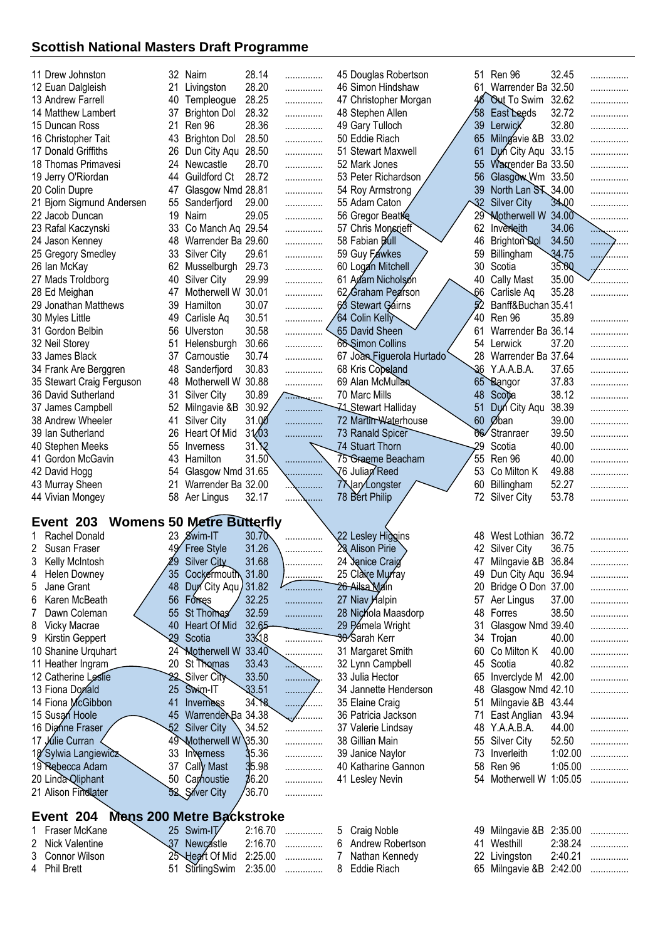| 11 Drew Johnston                             |            | 32 Nairn                         | 28.14              | .              |        | 45 Douglas Robertson          | 51 | Ren 96                                | 32.45   | .      |
|----------------------------------------------|------------|----------------------------------|--------------------|----------------|--------|-------------------------------|----|---------------------------------------|---------|--------|
| 12 Euan Dalgleish                            | 21         | Livingston                       | 28.20              |                |        | 46 Simon Hindshaw             |    | 61 Warrender Ba 32.50                 |         |        |
|                                              |            |                                  |                    | .              |        |                               |    |                                       |         | .      |
| 13 Andrew Farrell                            | 40         | Templeogue                       | 28.25              | .              |        | 47 Christopher Morgan         | 46 | <b>Out</b> To Swim                    | 32.62   |        |
| 14 Matthew Lambert                           | 37         | <b>Brighton Dol</b>              | 28.32              | .              |        | 48 Stephen Allen              | 58 | East Leeds                            | 32.72   |        |
| 15 Duncan Ross                               | 21         | Ren 96                           | 28.36              | .              |        | 49 Gary Tulloch               | 39 | Lerwick                               | 32.80   | .      |
| 16 Christopher Tait                          | 43         | <b>Brighton Dol</b>              | 28.50              | .              |        | 50 Eddie Riach                | 65 | Milngavie &B                          | 33.02   | .      |
| 17 Donald Griffiths                          | 26         | Dun City Aqu                     | 28.50              | .              |        | 51 Stewart Maxwell            | 61 | Dun City Aqu 33.15                    |         |        |
| 18 Thomas Primavesi                          | 24         | Newcastle                        | 28.70              | .              |        | 52 Mark Jones                 | 55 | Warrender Ba 33.50                    |         | .      |
| 19 Jerry O'Riordan                           | 44         | Guildford Ct                     | 28.72              | .              |        | 53 Peter Richardson           | 56 | Glasgow Wm 33.50                      |         | .      |
|                                              |            |                                  |                    |                |        |                               | 39 |                                       |         |        |
| 20 Colin Dupre                               | 47         | Glasgow Nmd 28.81                |                    | .              |        | 54 Roy Armstrong              |    | North Lan S <sub>N</sub> 34.00        |         | .      |
| 21 Bjorn Sigmund Andersen                    | 55         | Sanderfjord                      | 29.00              | .              |        | 55 Adam Caton                 | 32 | <b>Silver City</b>                    | 34.00   |        |
| 22 Jacob Duncan                              | 19         | Nairn                            | 29.05              | .              |        | 56 Gregor Beattie             | 29 | <b>Motherwell W</b>                   | 34.00   |        |
| 23 Rafal Kaczynski                           | 33         | Co Manch Aq 29.54                |                    | .              |        | 57 Chris Monsrieff            | 62 | Inverleith                            | 34.06   |        |
| 24 Jason Kenney                              | 48         | Warrender Ba 29.60               |                    | .              |        | 58 Fabian Bull                | 46 | Brighton Dol                          | 34.50   | .      |
| 25 Gregory Smedley                           | 33         | Silver City                      | 29.61              | .              |        | 59 Guy Fawkes                 | 59 | Billingham                            | 34.75   |        |
| 26 Ian McKay                                 | 62         | Musselburgh                      | 29.73              | .              |        | 60 Logan Mitchell             | 30 | Scotia                                | 35.00   |        |
| 27 Mads Troldborg                            | 40         | <b>Silver City</b>               | 29.99              |                |        | 61 Adam Nicholson             | 40 |                                       | 35.00   |        |
|                                              |            |                                  |                    | .              |        |                               |    | <b>Cally Mast</b>                     |         |        |
| 28 Ed Meighan                                | 47         | Motherwell W 30.01               |                    | .              |        | 62 Graham Pearson             | 66 | Carlisle Aq                           | 35.28   |        |
| 29 Jonathan Matthews                         | 39         | Hamilton                         | 30.07              | .              |        | 63 Stewart Gáirns             | 52 | Banff&Buchan 35.41                    |         |        |
| 30 Myles Little                              | 49         | Carlisle Aq                      | 30.51              | .              |        | 64 Colin Kelly                | 40 | Ren 96                                | 35.89   | .      |
| 31 Gordon Belbin                             | 56         | Ulverston                        | 30.58              | .              |        | 65 David Sheen                | 61 | Warrender Ba 36.14                    |         | .      |
| 32 Neil Storey                               | 51         | Helensburgh                      | 30.66              | .              |        | 66 Simon Collins              | 54 | Lerwick                               | 37.20   | .      |
| 33 James Black                               | 37         | Carnoustie                       | 30.74              | .              |        | 67 Joan Figuerola Hurtado     | 28 | Warrender Ba 37.64                    |         | .      |
| 34 Frank Are Berggren                        | 48         | Sanderfjord                      | 30.83              |                |        | 68 Kris Copeland              | 36 | Y.A.A.B.A.                            | 37.65   |        |
|                                              |            |                                  |                    | .              |        |                               |    |                                       |         |        |
| 35 Stewart Craig Ferguson                    | 48         | Motherwell W 30.88               |                    | .              |        | 69 Alan McMullan              | 65 | Bangor                                | 37.83   |        |
| 36 David Sutherland                          | 31         | <b>Silver City</b>               | 30.89              | . <del>.</del> |        | 70 Marc Mills                 | 48 | Scotta                                | 38.12   | .      |
| 37 James Campbell                            | 52         | Milngavie &B                     | 30.92              | .              |        | <b>71 Stewart Halliday</b>    | 51 | Dun City Aqu                          | 38.39   |        |
| 38 Andrew Wheeler                            | 41         | <b>Silver City</b>               | 31.00              | .              |        | 72 Martin Waterhouse          | 60 | Øban                                  | 39.00   | .      |
| 39 Ian Sutherland                            | 26         | Heart Of Mid                     | 31/03              | .              |        | 73 Ranald Spicer              | 66 | Stranraer                             | 39.50   | .      |
| 40 Stephen Meeks                             | 55         | Inverness                        | 31.12              |                |        | 74 Stuart Thorn               | 29 | Scotia                                | 40.00   |        |
| 41 Gordon McGavin                            | 43         | Hamilton                         | 31.50              |                |        | 75 Graeme Beacham             | 55 | Ren 96                                | 40.00   |        |
|                                              |            |                                  |                    |                |        |                               |    |                                       |         | .      |
|                                              |            |                                  |                    |                |        |                               |    |                                       |         |        |
| 42 David Hogg                                | 54         | Glasgow Nmd 31.65                |                    |                |        | 76 Julian Reed                | 53 | Co Milton K                           | 49.88   | .      |
| 43 Murray Sheen                              | 21         | Warrender Ba 32.00               |                    |                |        | 77 an/Longster                | 60 | Billingham                            | 52.27   | .      |
| 44 Vivian Mongey                             | 58         | Aer Lingus                       | 32.17              |                |        | 78 Bert Philip                | 72 | <b>Silver City</b>                    | 53.78   | .      |
|                                              |            |                                  |                    |                |        |                               |    |                                       |         |        |
| Event 203                                    |            | <b>Womens 50 Metre Butterfly</b> |                    |                |        |                               |    |                                       |         |        |
|                                              |            |                                  |                    |                |        |                               | 48 |                                       |         |        |
| Rachel Donald                                | 23         | Swim-IT                          | 30.70              |                |        | 22 Lesley Higgins             |    | West Lothian 36.72                    |         |        |
| 2<br>Susan Fraser                            |            | <b>Free Style</b>                | 31.26              |                |        | <b>Alison Pirie</b>           |    | <b>Silver City</b>                    | 36.75   |        |
| 3<br>Kelly McIntosh                          |            | Silver City                      | 31.68              |                |        | 24 Janice Craig               | 47 | Milngavie &B                          | 36.84   |        |
| <b>Helen Downey</b><br>4                     | 35         | Cockermouth 31.80                |                    | .              |        | 25 Clare Murray               |    | 49 Dun City Aqu 36.94                 |         | .      |
| 5<br>Jane Grant                              | 48         | Dun City Aqu 31.82               |                    | .              |        | 26 Ailsa Main                 | 20 | Bridge O Don 37.00                    |         | .      |
| Karen McBeath<br>6                           | 56         | Forres                           | 32.25              | .              |        | 27 Niav <i>Halpin</i>         | 57 | Aer Lingus                            | 37.00   | .      |
| Dawn Coleman<br>7                            | 55         | St Thomas                        | 32.59              | .              |        | 28 Nichola Maasdorp           | 48 | Forres                                | 38.50   | .      |
|                                              | 40         |                                  |                    |                |        |                               |    |                                       |         |        |
| 8<br>Vicky Macrae                            |            | Heart Of Mid                     | 32.65              |                |        | 29 Pamela Wright              | 31 | Glasgow Nmd 39.40                     |         | .      |
| 9<br>Kirstin Geppert                         | 29         | Scotia                           | 33.18              | .              |        | 30 Sarah Kerr                 | 34 | Trojan                                | 40.00   | .      |
| 10 Shanine Urquhart                          | $24^\circ$ | Motherwell W 33.40               |                    | .              |        | 31 Margaret Smith             | 60 | Co Milton K                           | 40.00   | .      |
| 11 Heather Ingram                            | 20         | St Thomas                        | 33.43              | $\cdots$<br>.  |        | 32 Lynn Campbell              | 45 | Scotia                                | 40.82   | .      |
| 12 Catherine Leslie                          | 22         | Silver City                      | 33.50              | .              |        | 33 Julia Hector               | 65 | Inverclyde M                          | 42.00   | .      |
| 13 Fiona Donald                              | 25         | Swim-IT                          | 33.51              | .<br>.<br>.    |        | 34 Jannette Henderson         | 48 | Glasgow Nmd 42.10                     |         | .      |
| 14 Fiona McGibbon                            | 41         |                                  |                    | .              |        |                               | 51 |                                       |         |        |
|                                              |            | Inverness                        | 34.18              |                |        | 35 Elaine Craig               |    | Milngavie &B 43.44                    |         |        |
| 15 Susan Hoole                               | 45         | WarrenderBa 34.38                |                    | .              |        | 36 Patricia Jackson           | 71 | East Anglian                          | 43.94   | .      |
| 16 Digine Fraser                             | 52         | <b>Silver City</b>               | 34.52              | .              |        | 37 Valerie Lindsay            | 48 | Y.A.A.B.A.                            | 44.00   | .      |
| 17 Julie Curran                              | 49         | Motherwell W 35.30               |                    | .              |        | 38 Gillian Main               | 55 | <b>Silver City</b>                    | 52.50   | .      |
| 18 Sylwia Langiewicz                         | 33         | Inverness                        | 35.36              | .              |        | 39 Janice Naylor              | 73 | Inverleith                            | 1:02.00 | .      |
| 19 Rebecca Adam                              | 37         | Cally Mast                       | 35.98              | .              |        | 40 Katharine Gannon           | 58 | Ren 96                                | 1:05.00 | .      |
| 20 Linda Qliphant                            | 50         | Carhoustie                       | 36.20              | .              |        | 41 Lesley Nevin               | 54 | Motherwell W 1:05.05                  |         | .      |
| 21 Alison Findlater                          |            | 52 Silver City                   | '36.70             | .              |        |                               |    |                                       |         |        |
|                                              |            |                                  |                    |                |        |                               |    |                                       |         |        |
| Event 204                                    |            | Mens 200 Metre Backstroke        |                    |                |        |                               |    |                                       |         |        |
| Fraser McKane                                |            | 25 Swim-IT                       | 2:16.70            | .              | 5      | Craig Noble                   | 49 |                                       |         |        |
|                                              |            |                                  |                    |                |        |                               |    | Milngavie &B                          | 2:35.00 |        |
| <b>Nick Valentine</b><br>2                   | 37         | Newcastle                        | 2:16.70            | .              | 6      | Andrew Robertson              | 41 | Westhill                              | 2:38.24 | .      |
| Connor Wilson<br>3<br><b>Phil Brett</b><br>4 | 51         | 25 Heart Of Mid<br>StirlingSwim  | 2:25.00<br>2:35.00 | .<br>.         | 7<br>8 | Nathan Kennedy<br>Eddie Riach | 22 | Livingston<br>65 Milngavie &B 2:42.00 | 2:40.21 | .<br>. |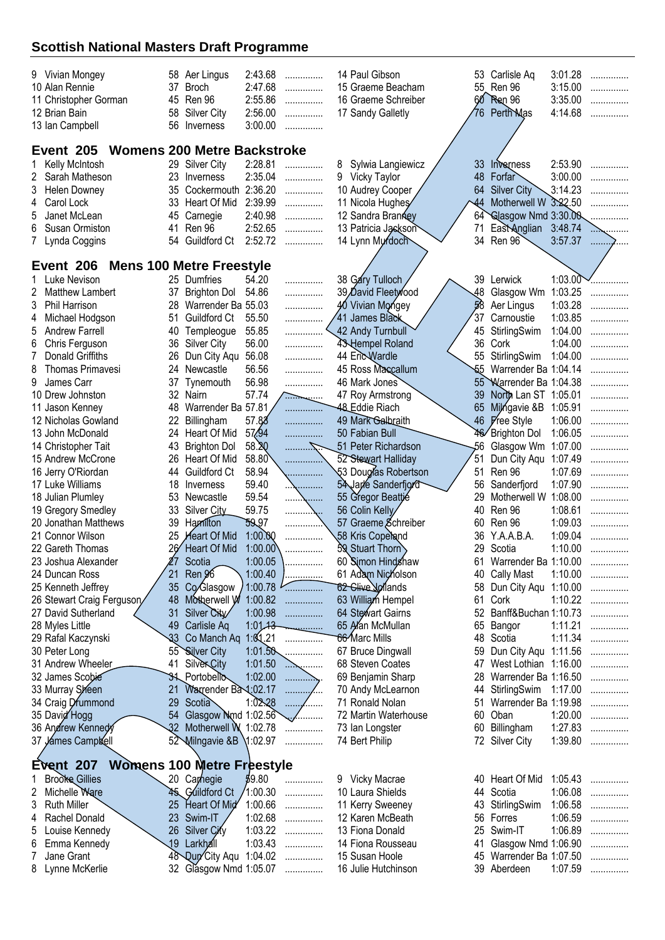|                                                 |     | 58 Aer Lingus                     | 2:43.68  |                |   | 14 Paul Gibson       |                           | 53 Carlisle Aq          | 3:01.28 |         |
|-------------------------------------------------|-----|-----------------------------------|----------|----------------|---|----------------------|---------------------------|-------------------------|---------|---------|
| 9 Vivian Mongey<br>10 Alan Rennie               | 37  | <b>Broch</b>                      | 2:47.68  | .              |   | 15 Graeme Beacham    |                           | 55 Ren 96               | 3:15.00 | .       |
|                                                 | 45  | Ren 96                            | 2:55.86  | .              |   | 16 Graeme Schreiber  | 60                        | <b>Ren</b> 96           | 3:35.00 | .       |
| 11 Christopher Gorman                           | 58  |                                   | 2:56.00  | .              |   |                      |                           | <b>Perth Mas</b>        | 4:14.68 | .       |
| 12 Brian Bain                                   |     | <b>Silver City</b>                |          | .              |   | 17 Sandy Galletly    | 76                        |                         |         | .       |
| 13 Ian Campbell                                 | 56  | Inverness                         | 3:00.00  | .              |   |                      |                           |                         |         |         |
| Event 205<br><b>Womens 200 Metre Backstroke</b> |     |                                   |          |                |   |                      |                           |                         |         |         |
|                                                 |     |                                   |          |                |   |                      |                           |                         | 2:53.90 |         |
| Kelly McIntosh<br>Sarah Matheson                |     | 29 Silver City                    | 2:28.81  | .              | 8 | Sylwia Langiewicz    | 33 <sup>°</sup>           | Inverness<br>Forfar     |         | .       |
| 2                                               | 23  | Inverness                         | 2:35.04  | .              |   | 9 Vicky Taylor       | 48                        |                         | 3:00.00 | .       |
| 3<br><b>Helen Downey</b>                        | 35  | Cockermouth 2:36.20               |          | .              |   | 10 Audrey Cooper     | 64                        | <b>Silver City</b>      | 3:14.23 |         |
| 4<br>Carol Lock                                 | 33  | Heart Of Mid                      | 2:39.99  | .              |   | 11 Nicola Hughes     | $\overline{44}$           | Motherwell W 3:22.50    |         |         |
| 5<br>Janet McLean                               | 45  | Carnegie                          | 2:40.98  | .              |   | 12 Sandra Branney    | 64                        | Glasgow Nmd 3:30.00     |         |         |
| 6<br>Susan Ormiston                             | 41  | Ren 96                            | 2:52.65  | .              |   | 13 Patricia Jackson  | 71                        | East Anglian 3:48.74    |         |         |
| 7 Lynda Coggins                                 | 54  | Guildford Ct                      | 2:52.72  | .              |   | 14 Lynn Murdoch      | 34                        | Ren 96                  | 3:57.37 | 1.1.1.1 |
|                                                 |     |                                   |          |                |   |                      |                           |                         |         |         |
| Event 206                                       |     | <b>Mens 100 Metre Freestyle</b>   |          |                |   |                      |                           |                         |         |         |
| Luke Nevison                                    |     | 25 Dumfries                       | 54.20    | .              |   | 38 Gary Tulloch      |                           | 39 Lerwick              | 1:03.00 | .       |
| Matthew Lambert                                 | 37  | <b>Brighton Dol</b>               | 54.86    | .              |   | 39 David Fleetwood   | 48                        | Glasgow Wm              | 1:03.25 | .       |
| 3<br>Phil Harrison                              | 28  | Warrender Ba 55.03                |          | .              |   | 40 Vivian Mongey     | 58                        | Aer Lingus              | 1:03.28 |         |
| Michael Hodgson<br>4                            | 51  | Guildford Ct                      | 55.50    | .              |   | 41 James Black       | 37                        | Carnoustie              | 1:03.85 |         |
| 5<br><b>Andrew Farrell</b>                      | 40  | Templeogue                        | 55.85    |                |   | 42 Andy Turnbull     | 45                        | StirlingSwim            | 1:04.00 |         |
| Chris Ferguson<br>6                             | 36  | <b>Silver City</b>                | 56.00    | .              |   | 43 Hempel Roland     | 36                        | Cork                    | 1:04.00 | .       |
| 7<br>Donald Griffiths                           | 26  | Dun City Aqu                      | 56.08    | .              |   | 44 Eric Wardle       | 55                        | StirlingSwim            | 1:04.00 |         |
| 8<br>Thomas Primavesi                           | 24  | Newcastle                         | 56.56    | .              |   | 45 Ross Maccallum    | $\overline{\mathfrak{b}}$ | Warrender Ba 1:04.14    |         |         |
| 9<br>James Carr                                 | 37  | Tynemouth                         | 56.98    | .              |   | 46 Mark Jones        | $55^{\circ}$              | Warrender Ba 1:04.38    |         |         |
| 10 Drew Johnston                                | 32  | Nairn                             | 57.74    | . <del>.</del> |   | 47 Roy Armstrong     | 39                        | North Lan ST 1:05.01    |         | .       |
| 11 Jason Kenney                                 | 48  | Warrender Ba 57.81                |          | .              |   | 48 Eddie Riach       | 65                        | Milngavie &B            | 1:05.91 |         |
| 12 Nicholas Gowland                             | 22  | Billingham                        | 57.88    | .              |   | 49 Mark Galbraith    |                           | 46 <i>Free</i> Style    | 1:06.00 | .       |
| 13 John McDonald                                | 24  | Heart Of Mid                      | 57.94    | .              |   | 50 Fabian Bull       |                           | 46 Brighton Dol         | 1:06.05 | .       |
| 14 Christopher Tait                             | 43  | <b>Brighton Dol</b>               | 58.20    |                |   | 51 Peter Richardson  | 56                        | Glasgow Wm              | 1:07.00 |         |
| 15 Andrew McCrone                               | 26  | Heart Of Mid                      | 58.80    |                |   | 52 Stewart Halliday  | 51                        | Dun City Aqu 1:07.49    |         |         |
| 16 Jerry O'Riordan                              | 44  | Guildford Ct                      | 58.94    | .              |   | 53 Douglas Robertson | 51                        | Ren 96                  | 1:07.69 | .       |
| 17 Luke Williams                                | 18  | Inverness                         | 59.40    | .              |   | 54 Jarle Sanderfjord | 56                        | Sanderfjord             | 1:07.90 | .       |
| 18 Julian Plumley                               | 53  | Newcastle                         | 59.54    | .<br>.         |   | 55 Gregor Beattie    | 29                        | Motherwell W 1:08.00    |         | .       |
| 19 Gregory Smedley                              | 33  | Silver City                       | 59.75    | .              |   | 56 Colin Kelly       | 40                        | Ren 96                  | 1:08.61 |         |
| 20 Jonathan Matthews                            | 39  | Hamilton                          | 59.97    |                |   | 57 Graeme Schreiber  | 60                        | Ren 96                  | 1:09.03 | .       |
| 21 Connor Wilson                                | 25  | <b>Heart Of Mid</b>               | 1:00.00  |                |   | 58 Kris Copeland     | 36                        | Y.A.A.B.A.              | 1:09.04 | .<br>.  |
| 22 Gareth Thomas                                | 26⁄ | Heart Of Mid                      | 1:00.00  | .              |   | 59 Stuart Thorn      | 29                        | Scotia                  | 1:10.00 | .       |
| 23 Joshua Alexander                             | 27  | Scotia                            | 1:00.05  |                |   | 60 Simon Hindshaw    |                           | 61 Warrender Ba 1:10.00 |         |         |
| 24 Duncan Ross                                  | 21  | Ren 96                            | 1:00.40  | .              |   | 61 Adam Nicholson    |                           | 40 Cally Mast           | 1:10.00 | .       |
| 25 Kenneth Jeffrey                              | 35  | Co/Glasgow                        | 1:00.78  | .              |   | 62 Clive Norlands    | 58                        | Dun City Aqu 1:10.00    |         | .       |
| 26 Stewart Craig Ferguson                       | 48  | Motherwell W                      | 1:00.82  | .              |   | 63 William Hempel    | 61                        | Cork                    | 1:10.22 | .       |
| 27 David Sutherland                             | 31  | Silver City                       | 1:00.98  | .              |   | 64 Stewart Gairns    | 52                        | Banff&Buchan 1:10.73    |         | .       |
| 28 Myles Little                                 | 49  | Carlisle Aq                       | 1:01.13  | <u>.</u>       |   | 65 Alan McMullan     | 65                        | Bangor                  | 1:11.21 |         |
| 29 Rafal Kaczynski                              | 33  | Co Manch Aq 1:01.21               |          | .              |   | 66 Marc Mills        | 48                        | Scotia                  | 1:11.34 | .       |
| 30 Peter Long                                   | 55  | Silver City                       | 1:01.50  | .              |   | 67 Bruce Dingwall    | 59                        | Dun City Aqu 1:11.56    |         |         |
| 31 Andrew Wheeler                               | 41  | <b>SilverCity</b>                 | 1:01.50  | .              |   | 68 Steven Coates     | 47                        | West Lothian 1:16.00    |         |         |
| 32 James Scobie                                 |     | <b>31</b> Portobello              | 1:02.00  | .              |   | 69 Benjamin Sharp    | 28                        | Warrender Ba 1:16.50    |         | .       |
| 33 Murray Sheen                                 | 21  | Warrender Ba 1:02.17              |          | .<br>          |   | 70 Andy McLearnon    | 44                        | StirlingSwim            | 1:17.00 | .       |
| 34 Craig Drummond                               | 29  | Scotia                            | 1:02.28  | .              |   | 71 Ronald Nolan      | 51                        | Warrender Ba 1:19.98    |         |         |
| 35 David Hogg                                   | 54  | Glasgow Nmd 1:02.56               |          | .              |   | 72 Martin Waterhouse | 60                        | Oban                    | 1:20.00 | .       |
| 36 Andrew Kennedy                               | -32 | Motherwell W 1:02.78              |          | .              |   | 73 Ian Longster      | 60                        | Billingham              | 1:27.83 | .       |
| 37 James Camplel                                |     | 52 Milngavie & B 1:02.97          |          | .              |   | 74 Bert Philip       |                           | 72 Silver City          | 1:39.80 | .       |
|                                                 |     |                                   |          |                |   |                      |                           |                         |         |         |
| <b>Event 207</b>                                |     | <b>Womens 100 Metre Freestyle</b> |          |                |   |                      |                           |                         |         |         |
| <b>Brooke Gillies</b>                           |     | 20 Carhegie                       | \$9.80   | .              |   | 9 Vicky Macrae       |                           | 40 Heart Of Mid         | 1:05.43 | .       |
| Michelle Ware<br>2                              |     | 45 Guildford Ct                   | '1:00.30 |                |   | 10 Laura Shields     |                           | 44 Scotia               | 1:06.08 | .       |
| <b>Ruth Miller</b>                              | 25  | Heart Of Mid                      | 1:00.66  | .              |   | 11 Kerry Sweeney     | 43                        | StirlingSwim            | 1:06.58 |         |
| 3<br>Rachel Donald<br>4                         | 23  | Swim-IT                           | 1:02.68  | .              |   | 12 Karen McBeath     | 56                        | Forres                  | 1:06.59 | .       |
| Louise Kennedy                                  | 26  | Silver City                       | 1:03.22  | .              |   | 13 Fiona Donald      | 25                        | Swim-IT                 | 1:06.89 | .       |
| 5<br>Emma Kennedy<br>6                          | 19. | Larkhall                          | 1:03.43  | .              |   | 14 Fiona Rousseau    | 41                        | Glasgow Nmd 1:06.90     |         | .       |
| Jane Grant<br>7                                 |     | 48 Qun City Aqu 1:04.02           |          | .              |   | 15 Susan Hoole       |                           | 45 Warrender Ba 1:07.50 |         | .       |
|                                                 |     | 32 Glasgow Nmd 1:05.07            |          | .              |   | 16 Julie Hutchinson  |                           | 39 Aberdeen             | 1:07.59 | .       |
| 8 Lynne McKerlie                                |     |                                   |          |                |   |                      |                           |                         |         | .       |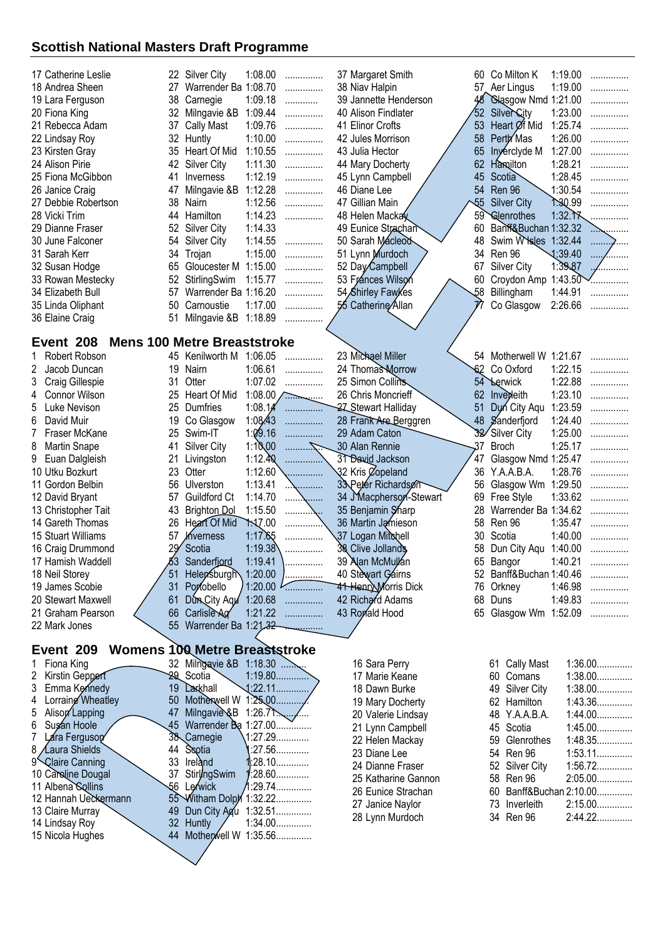| 17 Catherine Leslie                                        |          | 22 Silver City                       | 1:08.00                | .        | 37 Margaret Smith           |                 | 60 Co Milton K          | 1:19.00 | .         |
|------------------------------------------------------------|----------|--------------------------------------|------------------------|----------|-----------------------------|-----------------|-------------------------|---------|-----------|
| 18 Andrea Sheen                                            | 27       | Warrender Ba 1:08.70                 |                        | .        | 38 Niav Halpin              |                 | 57 Aer Lingus           | 1:19.00 | .         |
| 19 Lara Ferguson                                           | 38       | Carnegie                             | 1:09.18                | .        | 39 Jannette Henderson       |                 | 48 Glasgow Nmd 1:21.00  |         |           |
| 20 Fiona King                                              | 32       | Milngavie &B                         | 1:09.44                | .        | 40 Alison Findlater         | $52 \,$         | <b>Silver City</b>      | 1:23.00 | .         |
| 21 Rebecca Adam                                            | 37       | <b>Cally Mast</b>                    | 1:09.76                | .        | 41 Elinor Crofts            | 53              | Heart Øf Mid            | 1:25.74 | .         |
| 22 Lindsay Roy                                             | 32       | Huntly                               | 1:10.00                | .        | 42 Jules Morrison           | 58              | Perth Mas               | 1:26.00 | .         |
| 23 Kirsten Gray                                            | 35       | Heart Of Mid                         | 1:10.55                | .        | 43 Julia Hector             | 65              | Inverciyde M            | 1:27.00 | .         |
| 24 Alison Pirie                                            | 42       | <b>Silver City</b>                   | 1:11.30                | .        | 44 Mary Docherty            | 62              | Hamilton                | 1:28.21 | .         |
| 25 Fiona McGibbon                                          | 41       | Inverness                            | 1:12.19                | .        | 45 Lynn Campbell            | 45              | Scotia                  | 1:28.45 |           |
| 26 Janice Craig                                            | 47       | Milngavie &B                         | 1:12.28                | .        | 46 Diane Lee                | 54              | Ren 96                  | 1:30.54 |           |
| 27 Debbie Robertson                                        | 38       | Nairn                                | 1:12.56                | .        | 47 Gillian Main             | $\overline{55}$ | <b>Silver City</b>      | 1.30.99 |           |
| 28 Vicki Trim                                              | 44       | Hamilton                             | 1:14.23                |          | 48 Helen Mackay             | 59              | Glenrothes              | 1:32.77 |           |
| 29 Dianne Fraser                                           | 52       | Silver City                          | 1:14.33                | .        | 49 Eunice Strachan          | 60              | Banf&Buchan 1:32.32     |         |           |
|                                                            |          | <b>Silver City</b>                   | 1:14.55                |          | 50 Sarah Macleod            | 48              | Swim W sles 1:32.44     |         |           |
| 30 June Falconer                                           | 54       |                                      |                        | .        |                             |                 |                         |         | .         |
| 31 Sarah Kerr                                              | 34       | Trojan                               | 1:15.00                | .        | 51 Lynn Murdoch             | 34              | Ren 96                  | 1:39.40 | $\cdots$  |
| 32 Susan Hodge                                             | 65       | Gloucester M                         | 1:15.00                | .        | 52 Day Campbell             | 67              | Silver City             | 1:39.87 |           |
| 33 Rowan Mestecky                                          | 52       | StirlingSwim                         | 1:15.77                | .        | 53 Frances Wilson           | 60              | Croydon Amp 1:43.50     |         |           |
| 34 Elizabeth Bull                                          | 57       | Warrender Ba 1:16.20                 |                        | .        | 54 Shirley Fawkes           | 58              | Billingham              | 1:44.91 | .         |
| 35 Linda Oliphant                                          | 50       | Carnoustie                           | 1:17.00                | .        | 55 Catherine Allan          | 77              | Co Glasgow              | 2:26.66 | .         |
| 36 Elaine Craig                                            | 51       | Milngavie &B 1:18.89                 |                        | .        |                             |                 |                         |         |           |
|                                                            |          |                                      |                        |          |                             |                 |                         |         |           |
| Event 208                                                  |          | <b>Mens 100 Metre Breaststroke</b>   |                        |          |                             |                 |                         |         |           |
| Robert Robson                                              |          | 45 Kenilworth M 1:06.05              |                        | .        | 23 Michael Miller           |                 | 54 Motherwell W 1:21.67 |         |           |
| 2<br>Jacob Duncan                                          | 19       | Nairn                                | 1:06.61                | .        | 24 Thomas Morrow            | 62              | Co Oxford               | 1:22.15 |           |
| 3<br>Craig Gillespie                                       | 31       | Otter                                | 1:07.02                | .        | 25 Simon Collins            | 54              | <b>Lerwick</b>          | 1:22.88 | .         |
| Connor Wilson<br>4                                         | 25       | Heart Of Mid                         | 1:08.00 $\angle$       |          | 26 Chris Moncrieff          |                 | 62 Invedeith            | 1:23.10 | .         |
| 5<br>Luke Nevison                                          | 25       | Dumfries                             | 1:08.14                | .        | 27 Stewart Halliday         | 51              | Dun City Aqu            | 1:23.59 |           |
| 6<br>David Muir                                            | 19       | Co Glasgow                           | 1:08.43                | .        | 28 Frank Are Berggren       |                 | 48 Sanderfjord          | 1:24.40 | .         |
| 7<br>Fraser McKane                                         | 25       | Swim-IT                              | 1:09.16                | .        | 29 Adam Caton               | 32/             | Silver City             | 1:25.00 | .         |
| 8<br><b>Martin Snape</b>                                   | 41       | Silver City                          | 1:10,00                | .        | 30 Alan Rennie              | 37              | <b>Broch</b>            | 1:25.17 | .         |
| 9<br>Euan Dalgleish                                        | 21       | Livingston                           | 1:12.40                |          | 31 David Jackson            | 47              | Glasgow Nmd 1:25.47     |         | .         |
| 10 Utku Bozkurt                                            | 23       | Otter                                | 1:12.60                | .        | 32 Kris Copeland            | 36              | Y.A.A.B.A.              | 1:28.76 |           |
| 11 Gordon Belbin                                           | 56       | Ulverston                            | 1:13.41                |          | 33 Peter Richardson         | 56              | Glasgow Wm 1:29.50      |         |           |
| 12 David Bryant                                            | 57       | Guildford Ct                         | 1:14.70                |          | 34 J'Macpherson-Stewart     | 69              | Free Style              | 1:33.62 |           |
| 13 Christopher Tait                                        | 43       | <b>Brighton Dol</b>                  | 1:15.50                |          | 35 Benjamin Sharp           | 28              | Warrender Ba 1:34.62    |         |           |
| 14 Gareth Thomas                                           | 26       | <b>Heart Of Mid</b>                  | <b>1.17.00</b>         |          | 36 Martin Jamieson          | 58              | Ren 96                  | 1:35.47 |           |
| 15 Stuart Williams                                         | 57       | hverness                             | 1:17.65                |          | 37 Logan Mitchell           | 30              | Scotia                  | 1:40.00 | .         |
| 16 Craig Drummond                                          |          | Scotia                               | 1:19.38                |          | 38 Clive Jollands           | 58              | Dun City Aqu            | 1:40.00 |           |
| 17 Hamish Waddell                                          | 83       | Sanderfjord                          | 1:19.41                |          | 39 Alan McMullan            |                 | 65 Bangor               | 1:40.21 |           |
| 18 Neil Storey                                             | 51       | Helepsburgh 1:20.00                  |                        |          | 40 Stewart Gairns           |                 | 52 Banff&Buchan 1:40.46 |         | .         |
| 19 James Scobie                                            | 31       | Portobello                           | 1:20.00                | .        | <b>41 Henry Morris Dick</b> |                 | 76 Orkney               | 1:46.98 |           |
| 20 Stewart Maxwell                                         | 61       | Dun City Agu 1:20.68                 |                        | .        | 42 Richard Adams            |                 | 68 Duns                 | 1:49.83 | .         |
| 21 Graham Pearson                                          | 66       | Carlisle Ag                          | 1:21.22                | .        | 43 Ronald Hood              |                 |                         |         | .         |
|                                                            |          |                                      |                        | .        |                             |                 | 65 Glasgow Wm 1:52.09   |         | .         |
| 22 Mark Jones                                              | 55       | Warrender Ba 1:21.32                 |                        |          |                             |                 |                         |         |           |
| Event 209                                                  |          | <b>Womens 100 Metre Breaststroke</b> |                        |          |                             |                 |                         |         |           |
|                                                            |          |                                      |                        |          |                             |                 |                         |         |           |
| Fiona King                                                 |          | 32 Milngavie &B 1:18.30              |                        |          | 16 Sara Perry               |                 | 61 Cally Mast           |         | $1:36.00$ |
| 2<br>Kirstin Geppert                                       |          | 29 Scotia                            | $1:19.80$<br>$1:22.11$ |          | 17 Marie Keane              |                 | 60 Comans               |         | $1:38.00$ |
| 3<br>Emma Kennedy                                          | 19<br>50 | Larkhall<br>Motherwell W 1:25,00     |                        |          | 18 Dawn Burke               |                 | 49 Silver City          |         | $1:38.00$ |
| Lorraing Wheatley<br>4                                     | 47       | Milngavie & B 1:26.71                |                        |          | 19 Mary Docherty            |                 | 62 Hamilton             |         | 1:43.36   |
| 5<br>Alison Lapping<br>6                                   | 45       |                                      |                        |          | 20 Valerie Lindsay          |                 | 48 Y.A.A.B.A.           |         | $1:44.00$ |
| Sugan Hoole<br>7                                           |          | Warrender Ba 1:27.00<br>38 Carnegie  | .1:27.29               |          | 21 Lynn Campbell            |                 | 45 Scotia               |         | $1:45.00$ |
| Lara Ferguson                                              |          |                                      |                        | :27.56   | 22 Helen Mackay             |                 | Glenrothes<br>59        |         | 1:48.35   |
| 8 <i>Laura</i> Shields                                     | 44<br>33 | Scotia<br>Ireland                    | $1:28.10$              |          | 23 Diane Lee                |                 | 54 Ren 96               |         | 1:53.11   |
| 9 <sup><i>S</i></sup> Claire Canning<br>10 Caroline Dougal | 37       | <b>Stirl/ngSwim</b>                  |                        | $:28.60$ | 24 Dianne Fraser            |                 | 52 Silver City          |         | $1:56.72$ |
| 11 Albena Sollins                                          | 56       | Lerwick                              |                        |          | 25 Katharine Gannon         |                 | 58 Ren 96               |         | 2:05.00   |
| 12 Hannah Ueckermann                                       |          | 55 Witham Dolph 1:32.22              |                        |          | 26 Eunice Strachan          |                 | 60 Banff&Buchan 2:10.00 |         |           |
| 13 Claire Murray                                           | 49       | Dun City Agu                         | $1:32.51$              |          | 27 Janice Naylor            |                 | 73 Inverleith           |         | 2:15.00   |
| 14 Lindsay Roy                                             |          | 32 Huntly                            | $1:34.00$              |          | 28 Lynn Murdoch             |                 | 34 Ren 96               |         | 2:44.22   |
| 15 Nicola Hughes                                           |          | 44 Motherwell W 1:35.56              |                        |          |                             |                 |                         |         |           |
|                                                            |          |                                      |                        |          |                             |                 |                         |         |           |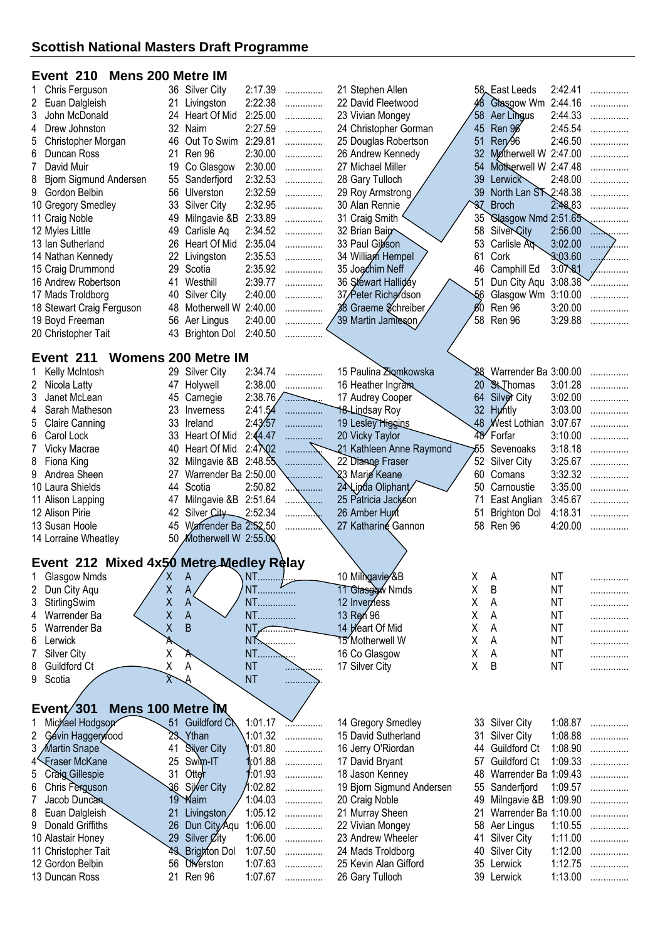# **Event 210 Mens 200 Metre IM**

| Chris Ferguson<br>1                     |          | 36 Silver City             | 2:17.39            | .                | 21 Stephen Allen                         |                 | 58 East Leeds            | 2:42.41            | . |
|-----------------------------------------|----------|----------------------------|--------------------|------------------|------------------------------------------|-----------------|--------------------------|--------------------|---|
| 2<br>Euan Dalgleish                     | 21       | Livingston                 | 2:22.38            | .                | 22 David Fleetwood                       |                 | 48 Glasgow Wm            | 2:44.16            |   |
| 3<br>John McDonald                      |          | 24 Heart Of Mid            | 2:25.00            | .                | 23 Vivian Mongey                         | 58              | Aer Lingus               | 2:44.33            |   |
| Drew Johnston<br>4                      |          | 32 Nairn                   | 2:27.59            | .                | 24 Christopher Gorman                    | 45              | Ren 9 <sup>g</sup>       | 2:45.54            |   |
| 5<br>Christopher Morgan                 | 46       | Out To Swim 2:29.81        |                    | .                | 25 Douglas Robertson                     | 51              | Ren <sub>26</sub>        | 2:46.50            |   |
| 6<br>Duncan Ross                        | 21       | Ren 96                     | 2:30.00            | .                | 26 Andrew Kennedy                        | 32 <sub>2</sub> | Motherwell W 2:47.00     |                    |   |
| 7<br>David Muir                         | 19       | Co Glasgow                 | 2:30.00            | .                | 27 Michael Miller                        | 54              | Motherwell W 2:47.48     |                    |   |
| 8<br>Bjorn Sigmund Andersen             | 55       | Sanderfjord                | 2:32.53            | .                | 28 Gary Tulloch                          | 39              | Lerwick                  | 2:48.00            |   |
| 9<br>Gordon Belbin                      | 56       | Ulverston                  | 2:32.59            | .                | 29 Roy Armstrong                         | 39              | North Lan ST 2:48.38     |                    |   |
| 10 Gregory Smedley                      | 33       | <b>Silver City</b>         | 2:32.95            | .                | 30 Alan Rennie                           | 37              | <b>Broch</b>             | 2:48,83            |   |
| 11 Craig Noble                          | 49       | Milngavie &B               | 2:33.89            | .                | 31 Craig Smith                           | 35              | Slasgow Nmd 2:51.65      |                    |   |
| 12 Myles Little                         | 49       | Carlisle Ag                | 2:34.52            | .                | 32 Brian Bain                            | 58              | <b>SilverCity</b>        | 2:56.00            |   |
| 13 Ian Sutherland                       | 26       | Heart Of Mid               | 2:35.04            | .                | 33 Paul Gibson                           | 53              | Carlisle A <sub>N</sub>  | 3:02.00            |   |
| 14 Nathan Kennedy                       | 22       | Livingston                 | 2:35.53            | .                | 34 William Hempel                        | 61              | Cork                     | 3:03.60            |   |
| 15 Craig Drummond                       | 29       | Scotia                     | 2:35.92            | .                | 35 Joachim Neff                          | 46              | Camphill Ed              | 3:07.81            |   |
| 16 Andrew Robertson                     | 41       | Westhill                   | 2:39.77            | .                | 36 Stewart Halliday                      | 51              | Dun City Aqu             | 3:08.38            |   |
| 17 Mads Troldborg                       | 40       | <b>Silver City</b>         | 2:40.00            | .                | 37/Peter Richardson                      | -56             | Glasgow Wm 3:10.00       |                    |   |
| 18 Stewart Craig Ferguson               | 48       | Motherwell W 2:40.00       |                    | .                | 38 Graeme Schreiber                      | $60^{\circ}$    | Ren 96                   | 3:20.00            |   |
| 19 Boyd Freeman                         | 56       | Aer Lingus                 | 2:40.00            | .                | 39 Martin Jamieson                       | 58              | Ren 96                   | 3:29.88            |   |
| 20 Christopher Tait                     | 43       | <b>Brighton Dol</b>        | 2:40.50            |                  |                                          |                 |                          |                    |   |
|                                         |          |                            |                    |                  |                                          |                 |                          |                    |   |
| Event 211                               |          | <b>Womens 200 Metre IM</b> |                    |                  |                                          |                 |                          |                    |   |
| Kelly McIntosh                          |          | 29 Silver City             | 2:34.74            | .                | 15 Paulina Ziomkowska                    |                 | 28 Warrender Ba 3:00.00  |                    |   |
| 2<br>Nicola Latty                       | 47       | Holywell                   | 2:38.00            | .                | 16 Heather Ingram                        | 20              | <b>St</b> Thomas         | 3:01.28            |   |
| 3<br>Janet McLean                       | 45       | Carnegie                   | 2:38.76            | .                | 17 Audrey Cooper                         | 64              | Silver City              | 3:02.00            |   |
| 4<br>Sarah Matheson                     | 23       | Inverness                  | 2:41.54            | .                | <b>18 Lindsay Roy</b>                    |                 | 32 Huntly                | 3:03.00            |   |
| 5<br><b>Claire Canning</b>              | 33       | Ireland                    | 2:43/57            | .                | 19 Lesley Higgins                        |                 | 48 West Lothian 3:07.67  |                    |   |
| 6<br>Carol Lock                         | 33       | Heart Of Mid               | 2:44.47            |                  | 20 Vicky Taylor                          | 48              | Forfar                   | 3:10.00            |   |
| 7<br>Vicky Macrae                       | 40       | Heart Of Mid               | 2:4702             |                  | 21 Kathleen Anne Raymond                 | 55              | Sevenoaks                | 3:18.18            |   |
| 8<br>Fiona King                         | 32       | Milngavie &B               | 2:48.55            |                  | 22 Dianne Fraser                         | 52              | Silver City              | 3:25.67            |   |
| 9<br>Andrea Sheen                       | 27       | Warrender Ba 2:50.00       |                    |                  | 23 Marie Keane                           | 60              | Comans                   | 3:32.32            | . |
| 10 Laura Shields                        | 44       | Scotia                     | 2:50.82            |                  | 24 Linda Oliphant                        | 50              | Carnoustie               | 3:35.00            | . |
| 11 Alison Lapping                       | 47       | Milngavie &B 2:51.64       |                    |                  | 25 Patricia Jackson                      | 71              | East Anglian             | 3:45.67            |   |
| 12 Alison Pirie                         | 42       | Silver City                | 2:52.34            |                  | 26 Amber Hunt                            | 51              | <b>Brighton Dol</b>      | 4:18.31            |   |
| 13 Susan Hoole                          | 45       | Warrender Ba 2:52.50       |                    |                  | 27 Katharine Gannon                      |                 | 58 Ren 96                | 4:20.00            |   |
| 14 Lorraine Wheatley                    | 50       | Motherwell W 2:55.00       |                    |                  |                                          |                 |                          |                    |   |
|                                         |          |                            |                    |                  |                                          |                 |                          |                    |   |
| Event 212 Mixed 4x50 Metre Medley Relay |          |                            |                    |                  |                                          |                 |                          |                    |   |
| 1 Glasgow Nmds                          |          |                            |                    |                  |                                          |                 |                          |                    |   |
| 2<br>Dun City Aqu                       | X        | A                          | $NT$               |                  | 10 Milngavie &B                          | X               | A                        | <b>NT</b>          | . |
| 3<br>StirlingSwim                       | X        | A                          |                    |                  | 11 Glasgow Nmds                          | Χ               | B                        | NT                 | . |
|                                         | Χ        | A                          | NT                 |                  | 12 Inverness                             | Χ               | Α                        | <b>NT</b>          | . |
| Warrender Ba<br>4                       | X        | $\mathsf{A}$               | NT                 |                  | 13 Ren 96                                | Χ               | A                        | <b>NT</b>          | . |
| Warrender Ba<br>5                       | Χ        | B                          | $NT \sim$          |                  | 14 Heart Of Mid                          | Χ               | Α                        | <b>NT</b>          | . |
| Lerwick<br>6                            | A        |                            | <b>NT</b>          |                  | 15 Motherwell W                          | Χ               | A                        | <b>NT</b>          | . |
| <b>Silver City</b>                      | Χ        | Ά                          | $NT$               |                  | 16 Co Glasgow                            | Χ               | A                        | <b>NT</b>          |   |
| 8<br>Guildford Ct                       | χ        | А                          | <b>NT</b>          |                  | 17 Silver City                           | Χ               | B                        | <b>NT</b>          | . |
| 9 Scotia                                | χ        | А                          | <b>NT</b>          | .                |                                          |                 |                          |                    |   |
|                                         |          |                            |                    |                  |                                          |                 |                          |                    |   |
| Event $/301$<br>Mens 100 Metre IM       |          |                            |                    |                  |                                          |                 |                          |                    |   |
| Michael Hodgson                         |          | 51 Guildford Ct            | 1:01.17            | . . <del>.</del> | 14 Gregory Smedley                       |                 | 33 Silver City           | 1:08.87            | . |
| $\overline{2}$<br>Gávin Haggerwood      | 23.      | Ythan                      | 1:01.32            | .                | 15 David Sutherland                      | 31              | <b>Silver City</b>       | 1:08.88            | . |
| 3<br>Martin Snape                       | 41       | <b>Silver City</b>         | :01.80             | .                | 16 Jerry O'Riordan                       |                 | 44 Guildford Ct          | 1:08.90            | . |
| Fraser McKane<br>4                      | 25       | Swim-IT                    | :01.88             | .                | 17 David Bryant                          | 57              | Guildford Ct             | 1:09.33            | . |
| 5<br>Craig Gillespie                    | 31       | Otter                      | :01.93             | .                | 18 Jason Kenney                          | 48              | Warrender Ba 1:09.43     |                    | . |
| 6<br>Chris Ferguson                     | 36       | Silver City                | :02.82             | .                | 19 Bjorn Sigmund Andersen                | 55              | Sanderfjord              | 1:09.57            | . |
| Jacob Duncan<br>7                       | 19       | <b>Mairn</b>               | 1:04.03            | .                | 20 Craig Noble                           | 49              | Milngavie &B             | 1:09.90            |   |
| Euan Dalgleish<br>8                     | 21       | Livingston                 | 1:05.12            | .                | 21 Murray Sheen                          | 21              | Warrender Ba 1:10.00     |                    |   |
| Donald Griffiths<br>9                   | 26       | Dun City Aqu               | 1:06.00            | .                | 22 Vivian Mongey                         | 58              | Aer Lingus               | 1:10.55            | . |
| 10 Alastair Honey                       | 29       | Silver <i>C</i> ity        | 1:06.00            | .                | 23 Andrew Wheeler                        | 41              | <b>Silver City</b>       | 1:11.00            | . |
| 11 Christopher Tait                     |          | 43 Brighton Dol            | 1:07.50            | .                | 24 Mads Troldborg                        | 40              | <b>Silver City</b>       | 1:12.00            | . |
| 12 Gordon Belbin<br>13 Duncan Ross      | 56<br>21 | <b>Olverston</b><br>Ren 96 | 1:07.63<br>1:07.67 | .                | 25 Kevin Alan Gifford<br>26 Gary Tulloch |                 | 35 Lerwick<br>39 Lerwick | 1:12.75<br>1:13.00 | . |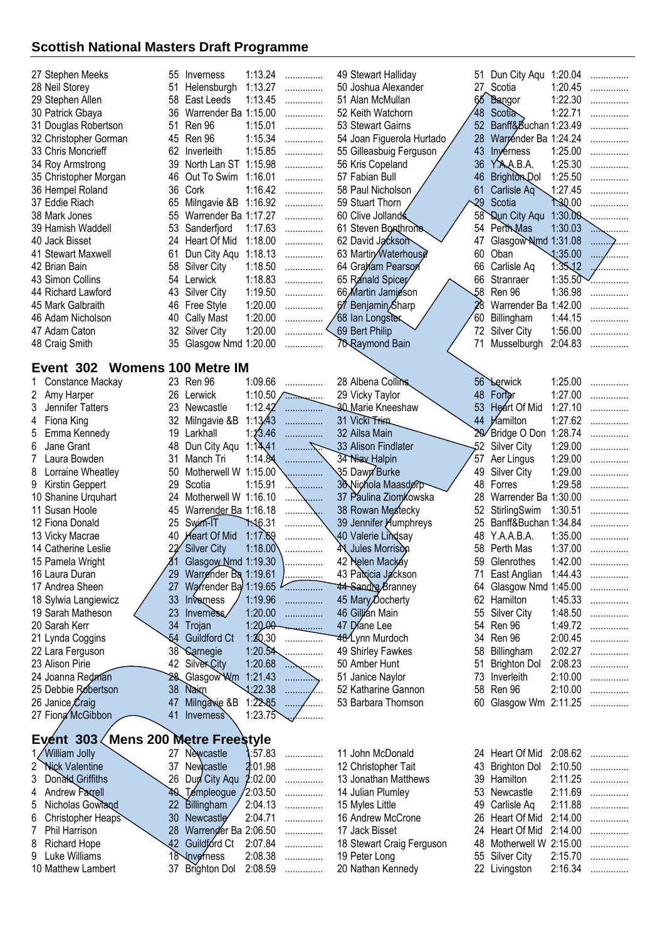| 27 Stephen Meeks              |    | 55 Inverness            | 1:13.24 | . | 49 Stewart Halliday       | 51  | Dun City Aqu 1:20.04    |                   | .                |
|-------------------------------|----|-------------------------|---------|---|---------------------------|-----|-------------------------|-------------------|------------------|
| 28 Neil Storey                | 51 | Helensburgh             | 1:13.27 | . | 50 Joshua Alexander       | 27  | Scotia                  | 1:20.45           | .                |
| 29 Stephen Allen              |    | 58 East Leeds           | 1:13.45 | . | 51 Alan McMullan          |     | 65 Bangor               | 1:22.30           | .                |
| 30 Patrick Gbaya              |    | 36 Warrender Ba 1:15.00 |         | . | 52 Keith Watchorn         | 48  | Scotta                  | 1:22.71           | .                |
| 31 Douglas Robertson          |    | 51 Ren 96               | 1:15.01 | . | 53 Stewart Gairns         | 52  | Banff&Buchan 1:23.49    |                   | .                |
| 32 Christopher Gorman         |    | 45 Ren 96               | 1:15.34 | . | 54 Joan Figuerola Hurtado |     | 28 Warrender Ba 1:24.24 |                   | .                |
| 33 Chris Moncrieff            | 62 | Inverleith              | 1:15.85 | . | 55 Gilleasbuig Ferguson   |     | 43 Inverness            | 1:25.00           | .                |
| 34 Roy Armstrong              | 39 | North Lan ST 1:15.98    |         | . | 56 Kris Copeland          |     | 36 Y.A.A.B.A.           | 1:25.30           | .                |
| 35 Christopher Morgan         |    | 46 Out To Swim          | 1:16.01 | . | 57 Fabian Bull            | 46  | <b>Brighton Dol</b>     | 1:25.50           | .                |
| 36 Hempel Roland              |    | 36 Cork                 | 1:16.42 | . | 58 Paul Nicholson         | 61  | Carlisle $Aq$           | 1:27.45           | .                |
| 37 Eddie Riach                | 65 | Milngavie &B            | 1:16.92 | . | 59 Stuart Thorn           | -29 | Scotia                  | 7.30.00           | .                |
| 38 Mark Jones                 |    | 55 Warrender Ba 1:17.27 |         | . | 60 Clive Jollands         |     | 58 Qun City Aqu         | 1:30.00           |                  |
| 39 Hamish Waddell             |    | 53 Sanderfjord          | 1:17.63 | . | 61 Steven Bonthrone       |     | 54 Perth Mas            | 1:30.03           | . <del>. .</del> |
| 40 Jack Bisset                |    | 24 Heart Of Mid         | 1:18.00 | . | 62 David Jackson          | 47  | Glasgow Nmd 1:31.08     |                   | .                |
| 41 Stewart Maxwell            | 61 | Dun City Agu            | 1:18.13 | . | 63 Martin Waterhouse      | 60  | Oban                    | $\triangle 35.00$ | $\cdots$<br>.    |
| 42 Brian Bain                 | 58 | Silver City             | 1:18.50 | . | 64 Graham Pearson         | 66  | Carlisle Aq             | $1:35\sqrt{2}$    |                  |
| 43 Simon Collins              |    | 54 Lerwick              | 1:18.83 | . | 65 Ranald Spicer          | 66  | Stranraer               | 1:35.50           | .                |
| 44 Richard Lawford            | 43 | Silver City             | 1:19.50 | . | 66 Martin Jamieson        | 58  | Ren 96                  | 1:36.98           | .                |
| 45 Mark Galbraith             |    | 46 Free Style           | 1:20.00 | . | 67 Benjamin Sharp         |     | Warrender Ba 1:42.00    |                   | .                |
| 46 Adam Nicholson             |    | 40 Cally Mast           | 1:20.00 | . | 68 Ian Longster           | 60  | Billingham              | 1:44.15           | .                |
| 47 Adam Caton                 |    | 32 Silver City          | 1:20.00 | . | 69 Bert Philip            |     | 72 Silver City          | 1:56.00           | .                |
| 48 Craig Smith                |    | 35 Glasgow Nmd 1:20.00  |         | . | 70 Raymond Bain           | 71  | Musselburgh             | 2:04.83           | .                |
| Event 302 Womens 100 Metre IM |    |                         |         |   |                           |     |                         |                   |                  |

|   | Constance Mackay                     | 23.             | Ren 96               | 1:09.66        | .       | 28 Albena Collins            |    | 56 Lerwick           | 1:25.00 | . |
|---|--------------------------------------|-----------------|----------------------|----------------|---------|------------------------------|----|----------------------|---------|---|
|   | 2 Amy Harper                         | 26              | Lerwick              | 1:10.50        | تستبي   | 29 Vicky Taylor              | 48 | Fortar               | 1:27.00 | . |
|   | Jennifer Tatters                     | 23              | Newcastle            | 1:12.42        | .       | <b>30 Marie Kneeshaw</b>     | 53 | Heart Of Mid         | 1:27.10 | . |
| 4 | Fiona King                           | 32              | Milngavie &B         | 1:13.43        | .       | 31 Vicki Trim                | 44 | <b>Hamilton</b>      | 1:27.62 | . |
| 5 | Emma Kennedy                         | 19              | Larkhall             | 1:13.46        | .       | 32 Ailsa Main                |    | Bridge O Don         | 1:28.74 | . |
| 6 | Jane Grant                           | 48              | Dun City Aqu         | 1:14.41        |         | 33 Alison Findlater          | 52 | Silver City          | 1:29.00 | . |
|   | Laura Bowden                         | 31              | Manch Tri            | 1:14.84        |         | 34 Niav Halpin               | 57 | Aer Lingus           | 1:29.00 |   |
| 8 | Lorraine Wheatley                    | 50              | Motherwell W         | 1:15.00        |         | 35 Dawn Burke                | 49 | Silver City          | 1:29.00 |   |
|   | 9 Kirstin Geppert                    | 29              | Scotia               | 1:15.91        |         | 36 Nichola Maasdorp          | 48 | Forres               | 1:29.58 | . |
|   | 10 Shanine Urquhart                  | 24              | Motherwell W 1:16.10 |                | .       | 37 Paulina Ziomkowska        | 28 | Warrender Ba 1:30.00 |         | . |
|   | 11 Susan Hoole                       | 45              | Warrender Ba 1:16.18 |                |         | 38 Rowan Mestecky            |    | StirlingSwim         | 1:30.51 | . |
|   | 12 Fiona Donald                      | 25              | Swim-IT              | <b>1.16.31</b> | .       | 39 Jennifer <i>Aumphreys</i> | 25 | Banff&Buchan 1:34.84 |         |   |
|   | 13 Vicky Macrae                      | 40              | <b>Heart Of Mid</b>  | 1:17.69        |         | .40 Valerie Li <b>nd</b> say | 48 | Y.A.A.B.A.           | 1:35.00 | . |
|   | 14 Catherine Leslie                  |                 | 22 Silver City       | 1:18.00        |         | <b>A Jules Morrison</b>      | 58 | Perth Mas            | 1:37.00 | . |
|   | 15 Pamela Wright                     |                 | Glasgow Nmd 1:19.30  |                |         | 42 Nelen Mackey              |    | Glenrothes           | 1:42.00 | . |
|   | 16 Laura Duran                       | 29              | Warrender Ba 1:19.61 |                | .       | 43 Patricia Jackson          |    | East Anglian         | 1:44.43 |   |
|   | 17 Andrea Sheen                      |                 | Warrender Ba 1:19.65 |                | .       | <b>44 Sandra Branney</b>     | 64 | Glasgow Nmd 1:45.00  |         |   |
|   | 18 Sylwia Langiewicz                 | 33              | Inverness            | 1:19.96        | .       | 45 Mary Docherty             | 62 | Hamilton             | 1:45.33 | . |
|   | 19 Sarah Matheson                    | 23              | Inverse/             | 1:20.00        | .       | 46 Gillián Main              |    | <b>Silver City</b>   | 1:48.50 | . |
|   | 20 Sarah Kerr                        | 34              | Trojan               | $1:20.00 -$    |         | 47 Diane Lee                 | 54 | Ren 96               | 1:49.72 |   |
|   | 21 Lynda Coggins                     | 54              | <b>Guildford Ct</b>  | 1:20.30        |         | 48 <sup>1</sup> Lynn Murdoch | 34 | Ren 96               | 2:00.45 | . |
|   | 22 Lara Ferguson                     | 38 <sup>°</sup> | <b>Sarnegie</b>      | 1:20.54        | .       | 49 Shirley Fawkes            | 58 | Billingham           | 2:02.27 | . |
|   | 23 Alison Pirie                      | 42              | <b>SilverCity</b>    | 1:20.68        | .       | 50 Amber Hunt                | 51 | <b>Brighton Dol</b>  | 2:08.23 |   |
|   | 24 Joanna Redman                     | 28.             | Glasgow Wm           | 1:21.43        | .       | 51 Janice Naylor             | 73 | Inverleith           | 2:10.00 |   |
|   | 25 Debbie Robertson                  | 38              | Naim                 | 1:22.38        |         | 52 Katharine Gannon          | 58 | Ren 96               | 2:10.00 | . |
|   | 26 Janice Craig                      | 47              | Milngavie &B         | 1:22.85        | 1.1.1.1 | 53 Barbara Thomson           | 60 | Glasgow Wm           | 2:11.25 |   |
|   | 27 Fiong McGibbon                    | 41              | Inverness            | 1:23.75        |         |                              |    |                      |         |   |
|   | Event 303 / Mens 200 Metre Freestyle |                 |                      |                |         |                              |    |                      |         |   |
|   | 1/William Jolly                      | 27              | Nèwcastle            | :57.83         |         | 11 John McDonald             |    | 24 Heart Of Mid      | 2:08.62 | . |
|   |                                      |                 |                      |                |         |                              |    |                      |         |   |

| TZ VVIIIIam Jolly   |                         |  | ZI Newcastle 1:57.83  IT JOHN MCDONAID    | 24 Heart Of Mild 2.08.62 |  |
|---------------------|-------------------------|--|-------------------------------------------|--------------------------|--|
| 2 Nick Valentine    |                         |  | 37 Newcastle 2.01.98  12 Christopher Tait | 43 Brighton Dol 2:10.50  |  |
| 3 Donald Griffiths  | 26 Dun City Agu 2:02.00 |  | 13 Jonathan Matthews                      | 39 Hamilton 2:11.25      |  |
| 4 Andrew Parrell    | 40 Templeogue / 2:03.50 |  | 14 Julian Plumley                         | 53 Newcastle 2:11.69     |  |
| 5 Nicholas Gowland  |                         |  | 22 Billingham / 2:04.13  15 Myles Little  | 49 Carlisle Aq 2:11.88   |  |
| 6 Christopher Heaps |                         |  |                                           | 26 Heart Of Mid 2:14.00  |  |
| 7 Phil Harrison     | 28 Warrender Ba 2:06.50 |  | 17 Jack Bisset                            | 24 Heart Of Mid 2:14.00  |  |
| 8 Richard Hope      |                         |  | 18 Stewart Craig Ferguson                 | 48 Motherwell W 2:15.00  |  |
| 9 Luke Williams     | 18 Inverness 2:08.38    |  | 19 Peter Long                             | 55 Silver City 2:15.70   |  |
| 10 Matthew Lambert  |                         |  |                                           | 22 Livingston 2:16.34    |  |
|                     |                         |  |                                           |                          |  |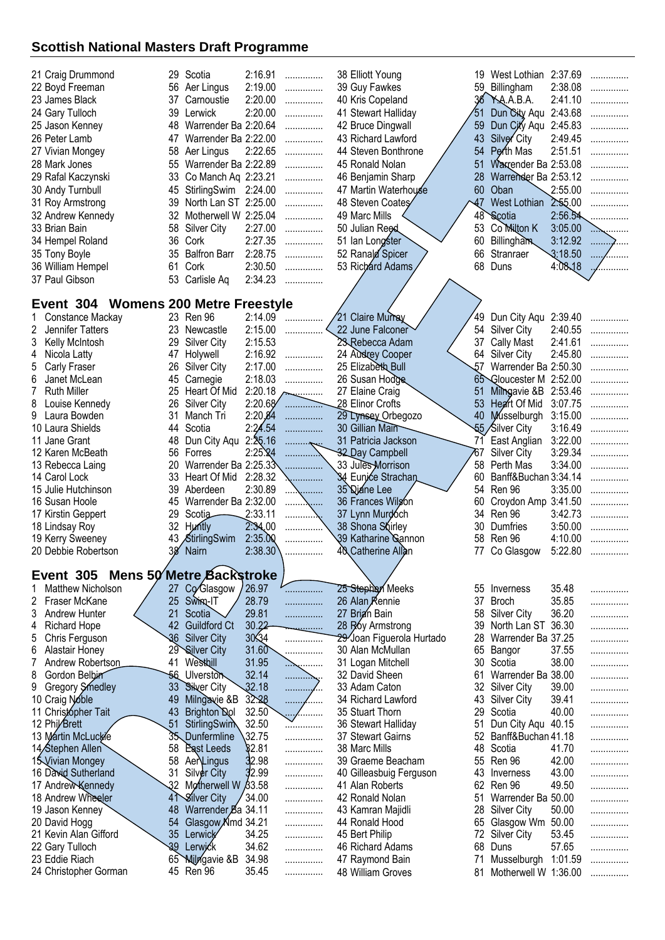| 21 Craig Drummond                     |              | 29 Scotia                         | 2:16.91          | .           | 38 Elliott Young                    |          | West Lothian 2:37.69                   |         | .      |
|---------------------------------------|--------------|-----------------------------------|------------------|-------------|-------------------------------------|----------|----------------------------------------|---------|--------|
| 22 Boyd Freeman                       | 56           | Aer Lingus                        | 2:19.00          | .           | 39 Guy Fawkes                       | 59       | Billingham                             | 2:38.08 |        |
| 23 James Black                        | 37           | Carnoustie                        | 2:20.00          | .           | 40 Kris Copeland                    |          | 36 Y.A.A.B.A.                          | 2:41.10 | .      |
| 24 Gary Tulloch                       |              | 39 Lerwick                        | 2:20.00          | .           | 41 Stewart Halliday                 | 51       | Dun City Aqu                           | 2:43.68 | .      |
| 25 Jason Kenney                       | 48           | Warrender Ba 2:20.64              |                  | .           | 42 Bruce Dingwall                   | 59       | Dun City Aqu 2:45.83                   |         |        |
| 26 Peter Lamb                         | 47           | Warrender Ba 2:22.00              |                  | .           | 43 Richard Lawford                  | 43       | Silver City                            | 2:49.45 | .      |
| 27 Vivian Mongey                      | 58           | Aer Lingus                        | 2:22.65          | .           | 44 Steven Bonthrone                 | 54       | Perth Mas                              | 2:51.51 | .      |
| 28 Mark Jones                         | 55           | Warrender Ba 2:22.89              |                  | .           | 45 Ronald Nolan                     | 51       | Waxtender Ba 2:53.08                   |         |        |
| 29 Rafal Kaczynski                    | 33           | Co Manch Aq 2:23.21               |                  | .           | 46 Benjamin Sharp                   | 28       | Warrender Ba 2:53.12                   |         |        |
| 30 Andy Turnbull                      | 45           | StirlingSwim 2:24.00              |                  | .           | 47 Martin Waterhouse                | 60       | Oban                                   | 2:55.00 |        |
| 31 Roy Armstrong                      | 39           | North Lan ST 2:25.00              |                  | .           | 48 Steven Coates                    | 47       | <b>West Lothian</b>                    | 2.55.00 |        |
| 32 Andrew Kennedy                     | 32           | Motherwell W 2:25.04              |                  | .           | 49 Marc Mills                       | 48       | Scotia                                 | 2:56.54 |        |
| 33 Brian Bain                         | 58           | <b>Silver City</b>                | 2:27.00          | .           | 50 Julian Reed                      | 53       | Co Milton K                            | 3:05.00 |        |
| 34 Hempel Roland                      | 36           | Cork                              | 2:27.35          | .           | 51 Ian Longster                     | 60       | <b>Billingham</b>                      | 3:12.92 |        |
| 35 Tony Boyle                         | 35           | <b>Balfron Barr</b>               | 2:28.75          | .           | 52 Ranald Spicer                    | 66       | Stranraer                              | 3:18.50 |        |
| 36 William Hempel                     | 61           | Cork                              | 2:30.50          | .           | 53 Richard Adams                    | 68       | Duns                                   | 4:08,18 |        |
| 37 Paul Gibson                        | 53           | Carlisle Aq                       | 2:34.23          |             |                                     |          |                                        |         |        |
|                                       |              |                                   |                  |             |                                     |          |                                        |         |        |
| Event 304 Womens 200 Metre Freestyle  |              |                                   |                  |             |                                     |          |                                        |         |        |
| Constance Mackay                      |              | 23 Ren 96                         | 2:14.09          |             | 21 Claire Murray                    | 49       | Dun City Aqu 2:39.40                   |         |        |
| 2<br>Jennifer Tatters                 | 23           | Newcastle                         | 2:15.00          |             | 22 June Falconer                    | 54       | <b>Silver City</b>                     | 2:40.55 |        |
| 3<br>Kelly McIntosh                   | 29           | <b>Silver City</b>                | 2:15.53          |             | 23 Rebecca Adam                     | 37       | <b>Cally Mast</b>                      | 2:41.61 |        |
| 4<br>Nicola Latty                     | 47           | Holywell                          | 2:16.92          | .           | 24 Audrey Cooper                    | 64       | <b>Silver City</b>                     | 2:45.80 | .      |
| 5<br>Carly Fraser                     | 26           | <b>Silver City</b>                | 2:17.00          | .           | 25 Elizabeth Bull                   | 57       | Warrender Ba 2:50.30                   |         |        |
| 6<br>Janet McLean                     | 45           | Carnegie                          | 2:18.03          | .           | 26 Susan Hodge                      | 65       | Gloucester M 2:52.00                   |         | .      |
| 7<br><b>Ruth Miller</b>               | 25           | Heart Of Mid                      | 2:20.18          | .           | 27 Elaine Craig                     | 51       | Milhgavie &B 2:53.46                   |         |        |
| 8<br>Louise Kennedy                   | 26           | <b>Silver City</b>                |                  |             | 28 Elinor Crofts                    | 53       | Heart Of Mid                           | 3:07.75 |        |
| 9<br>Laura Bowden                     | 31           | Manch Tri                         | 2:20,84          | .           | 29 Lynsey Orbegozo                  | 40       | Musselburgh                            | 3:15.00 | .      |
| 10 Laura Shields                      | 44           | Scotia                            | 2:24.54          | .           | 30 Gillian Main                     |          | 55 Silver City                         | 3:16.49 | .      |
| 11 Jane Grant                         | 48           | Dun City Aqu                      | 2:25.16          | .           | 31 Patricia Jackson                 | 71       | East Anglian                           | 3:22.00 |        |
| 12 Karen McBeath                      | 56           | Forres                            | $2:25.\sqrt{24}$ | .           | 32 Day Campbell                     | 767      | <b>Silver City</b>                     | 3:29.34 | .      |
| 13 Rebecca Laing                      | 20           | Warrender Ba 2:25.33              |                  |             | 33 Jules-Morrison                   | 58       | Perth Mas                              | 3:34.00 | .      |
| 14 Carol Lock                         | 33<br>39     | Heart Of Mid 2:28.32<br>Aberdeen  | 2:30.89          |             | 34 Eunice Strachan                  | 60<br>54 | Banff&Buchan 3:34.14<br>Ren 96         | 3:35.00 |        |
| 15 Julie Hutchinson<br>16 Susan Hoole | 45           | Warrender Ba 2:32.00              |                  | .           | 35 Diane Lee<br>36 Frances Wilgon   | 60       | Croydon Amp 3:41.50                    |         | .<br>. |
| 17 Kirstin Geppert                    | 29           | Scotia                            | 2:33.11          | .           | 37 Lynn Murdoch                     | 34       | Ren 96                                 | 3:42.73 |        |
| 18 Lindsay Roy                        | 32           | <b>Huntly</b>                     | 2.34,00          | .<br>.      | 38 Shona Shirley                    | 30       | Dumfries                               | 3:50.00 | .      |
| 19 Kerry Sweeney                      |              | 43 StirlingSwim                   | 2:35.00          |             | 39 Katharine Gannon                 | 58       | Ren 96                                 | 4:10.00 | .      |
| 20 Debbie Robertson                   | 38           | Nairn                             | 2:38.30          | .           | 40 Catherine Allan                  | 77       | Co Glasgow                             | 5:22.80 |        |
|                                       |              |                                   |                  |             |                                     |          |                                        |         |        |
| Event 305                             |              | Mens 50 Metre Backstroke          |                  |             |                                     |          |                                        |         |        |
| Matthew Nicholson                     | 27           | Co Glasgow                        | 26.97            | .           | 25 Stephen Meeks                    |          | 55 Inverness                           | 35.48   | .      |
| 2<br>Fraser McKane                    | 25           | Swing-IT                          | 28.79            | .           | 26 Alan Rennie                      | 37       | <b>Broch</b>                           | 35.85   | .      |
| 3<br><b>Andrew Hunter</b>             | 21           | Scotia                            | 29.81            | .           | 27 Brigh Bain                       | 58       | <b>Silver City</b>                     | 36.20   | .      |
| <b>Richard Hope</b><br>4              | 42           | <b>Guildford Ct</b>               | 30.22            | <u>.</u>    | 28 Roy Armstrong                    | 39       | North Lan ST 36.30                     |         | .      |
| 5<br>Chris Ferguson                   | 36           | <b>Silver City</b>                | 30.34            | .           | 29 Joan Figuerola Hurtado           | 28       | Warrender Ba 37.25                     |         | .      |
| 6<br>Alastair Honey                   | 29           | <b>Silver City</b>                | 31.60            | .           | 30 Alan McMullan                    | 65       | Bangor                                 | 37.55   | .      |
| 7<br>Andrew Robertson                 | 41           | Westbill                          | 31.95            | $\sim$<br>. | 31 Logan Mitchell                   | 30       | Scotia                                 | 38.00   | .      |
| 8<br>Gordon Belbin                    | -56          | <b>Ulverston</b>                  | 32.14            | .           | 32 David Sheen                      | 61       | Warrender Ba 38.00                     |         | .      |
| 9<br>Gregory Smedley                  | 33           | <b>Silver City</b>                | 32.18            | .           | 33 Adam Caton                       | 32       | Silver City                            | 39.00   | .      |
| 10 Craig Noble                        | 49           | Milngavie &B                      | 32.28            | .<br>.      | 34 Richard Lawford                  | 43       | <b>Silver City</b>                     | 39.41   | .      |
| 11 Christopher Tait                   | 43           | Brighton Dol                      | 32.50            | .           | 35 Stuart Thorn                     | 29       | Scotia                                 | 40.00   | .      |
| 12 Phil/Brett                         | 51           | StirlingSwim                      | 32.50            | .           | 36 Stewart Halliday                 | 51       | Dun City Aqu                           | 40.15   | .      |
| 13 Martin McLucke                     | 35           | Dunfermline                       | 32.75            | .           | 37 Stewart Gairns                   | 52       | Banff&Buchan 41.18                     |         |        |
| 14 Stephen Allen                      | 58           | East Leeds                        | \$2.81           | .           | 38 Marc Mills                       | 48       | Scotia                                 | 41.70   | .      |
| 15 Vivian Mongey                      | 58           | AerLingus                         | 32.98            | .           | 39 Graeme Beacham                   | 55       | Ren 96                                 | 42.00   | .      |
| 16 David Sutherland                   | 31           | Silver City                       | 32.99            | .           | 40 Gilleasbuig Ferguson             | 43       | Inverness                              | 43.00   | .      |
| 17 Andrew Kennedy                     | 32           | B3.58 Motherwell W                | 34.00            | .           | 41 Alan Roberts                     | 62<br>51 | Ren 96                                 | 49.50   | .      |
| 18 Andrew Wheeler                     | 41           | Silver City<br>Warrender Ba 34.11 |                  | .           | 42 Ronald Nolan                     | 28       | Warrender Ba 50.00                     | 50.00   |        |
| 19 Jason Kenney<br>20 David Hogg      | 48<br>54     | Glasgow Kimd 34.21                |                  | .           | 43 Kamran Majidli<br>44 Ronald Hood | 65       | <b>Silver City</b><br>Glasgow Wm 50.00 |         |        |
| 21 Kevin Alan Gifford                 | 35           | Lerwick                           | 34.25            | .<br>.      | 45 Bert Philip                      | 72       | <b>Silver City</b>                     | 53.45   | .      |
| 22 Gary Tulloch                       | 39           | Lerwick                           | 34.62            | .           | 46 Richard Adams                    | 68       | Duns                                   | 57.65   | .      |
| 23 Eddie Riach                        | $65^{\circ}$ | <b>Milngavie &amp;B</b>           | 34.98            | .           | 47 Raymond Bain                     | 71       | Musselburgh                            | 1:01.59 | .<br>. |
| 24 Christopher Gorman                 |              | 45 Ren 96                         | 35.45            | .           | 48 William Groves                   | 81       | Motherwell W 1:36.00                   |         | .      |
|                                       |              |                                   |                  |             |                                     |          |                                        |         |        |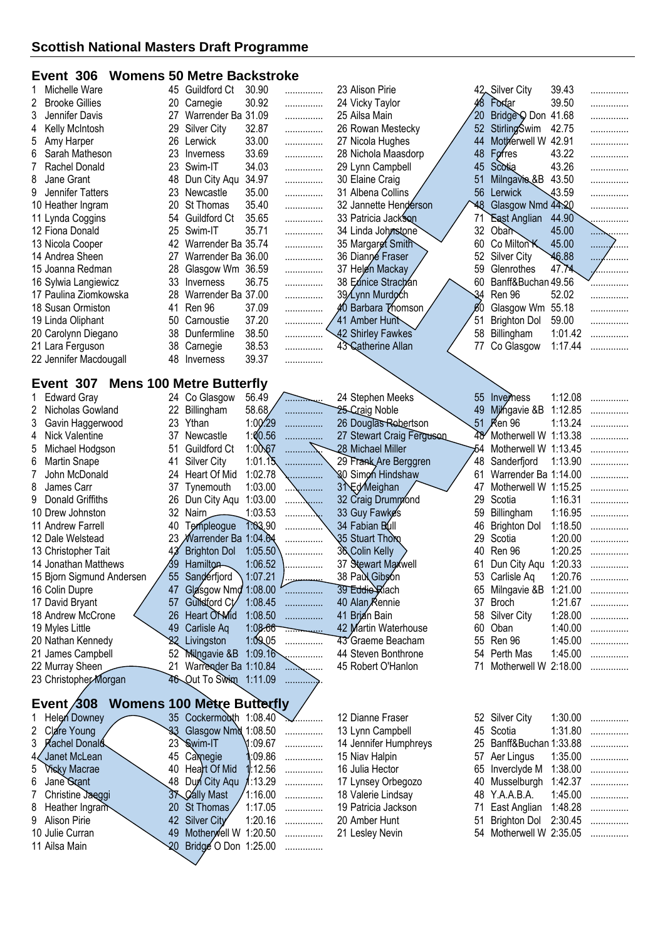#### **Event 306 Womens 50 Metre Backstroke**

|    | Michelle Ware          | 45 | <b>Guildford Ct</b> | 30.90 | . | 23 Alison Pirie       |     | 42 Silver City      | 39.43   |                  |
|----|------------------------|----|---------------------|-------|---|-----------------------|-----|---------------------|---------|------------------|
|    | 2 Brooke Gillies       | 20 | Carnegie            | 30.92 | . | 24 Vicky Taylor       |     | Fordar              | 39.50   | .                |
| 3. | Jennifer Davis         |    | Warrender Ba        | 31.09 | . | 25 Ailsa Main         | 20  | Bridge O Don        | 41.68   | .                |
|    | 4 Kelly McIntosh       | 29 | Silver City         | 32.87 | . | 26 Rowan Mestecky     | 52  | <b>StirlingSwim</b> | 42.75   | .                |
|    | 5 Amy Harper           | 26 | Lerwick             | 33.00 | . | 27 Nicola Hughes      | 44  | Motherwell W 42.91  |         | .                |
| 6  | Sarah Matheson         | 23 | Inverness           | 33.69 | . | 28 Nichola Maasdorp   | 48  | Forres              | 43.22   | .                |
|    | Rachel Donald          |    | 23 Swim-IT          | 34.03 | . | 29 Lynn Campbell      | 45  | Scotia              | 43.26   | .                |
|    | 8 Jane Grant           | 48 | Dun City Aqu        | 34.97 | . | 30 Elaine Craig       | 51  | Milngavie & B       | 43.50   | .                |
|    | 9 Jennifer Tatters     | 23 | Newcastle           | 35.00 | . | 31 Albena Collins     | 56  | Lerwick             | 43.59   | .                |
|    | 10 Heather Ingram      | 20 | St Thomas           | 35.40 | . | 32 Jannette Henderson | ט48 | Glasgow Nmd 44.20   |         | .                |
|    | 11 Lynda Coggins       | 54 | <b>Guildford Ct</b> | 35.65 | . | 33 Patricia Jackson   | 71  | <b>East Anglian</b> | 44.90   | .                |
|    | 12 Fiona Donald        | 25 | Swim-IT             | 35.71 | . | 34 Linda Johnstone    | 32  | Oba $\sum$          | 45.00   | . <del>. .</del> |
|    | 13 Nicola Cooper       | 42 | Warrender Ba 35.74  |       | . | 35 Margaret Smith     | 60  | Co Milton K         | 45.00   | .                |
|    | 14 Andrea Sheen        | 27 | Warrender Ba 36.00  |       | . | 36 Dianné Fraser      | 52. | Silver City         | 46.88   |                  |
|    | 15 Joanna Redman       | 28 | Glasgow Wm          | 36.59 | . | 37 Helen Mackay       | 59  | Glenrothes          | 47.74   | .                |
|    | 16 Sylwia Langiewicz   | 33 | Inverness           | 36.75 | . | 38 Eunice Strachan    | 60  | Banff&Buchan 49.56  |         |                  |
|    | 17 Paulina Ziomkowska  | 28 | Warrender Ba 37.00  |       | . | 39/Lynn Murdoch       | 34  | Ren 96              | 52.02   | .                |
|    | 18 Susan Ormiston      | 41 | Ren 96              | 37.09 | . | 40 Barbara Thomson    | 60  | Glasgow Wm          | 55.18   | .                |
|    | 19 Linda Oliphant      | 50 | Carnoustie          | 37.20 | . | 41 Amber Hunt         | 51  | <b>Brighton Dol</b> | 59.00   | .                |
|    | 20 Carolynn Diegano    | 38 | Dunfermline         | 38.50 | . | 42 Shirley Fawkes     | 58  | Billingham          | 1:01.42 | .                |
|    | 21 Lara Ferguson       | 38 | Carnegie            | 38.53 | . | 43 Catherine Allan    | 77  | Co Glasgow          | 1:17.44 | .                |
|    | 22 Jennifer Macdougall | 48 | Inverness           | 39.37 | . |                       |     |                     |         |                  |
|    |                        |    |                     |       |   |                       |     |                     |         |                  |

## **Event 307 Mens 100 Metre Butterfly**

|    | Edward Gray               |    | 24 Co Glasgow                   | 56.49       |                | 24 Stephen Meeks          |     | 55 Inverhess            | 1:12.08 | . |
|----|---------------------------|----|---------------------------------|-------------|----------------|---------------------------|-----|-------------------------|---------|---|
|    | Nicholas Gowland          | 22 | Billingham                      | 58.68       | .              | 25-Craig Noble            | 49  | Milhgavie &B            | 1:12.85 | . |
| 3. | Gavin Haggerwood          |    | 23 Ythan                        | $1:00^{29}$ | .              | 26 Douglas Robertson      |     | 51 <b>Ren 96</b>        | 1:13.24 | . |
|    | Nick Valentine            | 37 | Newcastle                       | 1:00.56     | .              | 27 Stewart Craig Fergusen |     | 48 Motherwell W 1:13.38 |         | . |
| 5  | Michael Hodgson           | 51 | <b>Guildford Ct</b>             | 1:00.67     | .              | 28 Michael Miller         | -54 | Motherwell W 1:13.45    |         | . |
| 6  | Martin Snape              | 41 | Silver City                     | 1:01.15     | .              | 29 Frank Are Berggren     | 48  | Sanderfjord             | 1:13.90 | . |
|    | John McDonald             | 24 | Heart Of Mid                    | 1:02.78     | .              | 80 Simon Hindshaw         | 61  | Warrender Ba 1:14.00    |         | . |
| 8  | James Carr                |    | 37 Tynemouth                    | 1:03.00     | . <b>.</b>     | 31 Ed Meighan             | 47  | Motherwell W 1:15.25    |         | . |
|    | 9 Donald Griffiths        | 26 | Dun City Agu                    | 1:03.00     | . <b>. .</b>   | 32 Craig Drummond         | 29. | Scotia                  | 1:16.31 | . |
|    | 10 Drew Johnston          | 32 | Nairn                           | 1:03.53     | . <b>. .</b> . | 33 Guy Fawkes             | 59  | Billingham              | 1:16.95 | . |
|    | 11 Andrew Farrell         | 40 | Templeogue                      | 1:03.90     | .              | 34 Fabian Bull            | 46  | <b>Brighton Dol</b>     | 1:18.50 | . |
|    | 12 Dale Welstead          |    | 23 <i>M</i> arrender Ba 1:04.64 |             | .              | 35 Stuart Thoro           | 29. | Scotia                  | 1:20.00 | . |
|    | 13 Christopher Tait       | 43 | <b>Brighton Dol</b>             | 1:05.50     | .              | 36 Colin Kelly            | 40  | Ren 96                  | 1:20.25 | . |
|    | 14 Jonathan Matthews      | 39 | Hamilton                        | 1:06.52     | .              | 37 Stewart Maxwell        | 61  | Dun City Agu            | 1:20.33 | . |
|    | 15 Bjorn Sigmund Andersen | 55 | Sanderfjord                     | 1:07.21     |                | 38 Pauk Gibson            |     | 53 Carlisle Aq          | 1:20.76 | . |
|    | 16 Colin Dupre            | 47 | Glasgow Nmd 1:08.00             |             | .              | 39 Eddie Kiach            | 65  | Milngavie &B            | 1:21.00 | . |
|    | 17 David Bryant           | 57 | Guildford Ct                    | 1:08.45     | .              | 40 Alan Rennie            | 37  | Broch                   | 1:21.67 | . |
|    | 18 Andrew McCrone         | 26 | Heart Of Mid                    | 1:08.50     | .              | 41 Brian Bain             | 58  | Silver City             | 1:28.00 | . |
|    | 19 Myles Little           | 49 | Carlisle Aq                     | 1:08.66     |                | 42 Martin Waterhouse      | 60  | Oban                    | 1:40.00 | . |
|    | 20 Nathan Kennedy         |    | Livingston                      | 1:09,05     | .              | 43 Graeme Beacham         |     | 55 Ren 96               | 1:45.00 | . |
|    | 21 James Campbell         | 52 | <b>Milngavie &amp;B</b>         | 1:09.16     |                | 44 Steven Bonthrone       |     | 54 Perth Mas            | 1:45.00 |   |
|    | 22 Murray Sheen           | 21 | Warrender Ba 1:10.84            |             | . <u>.</u>     | 45 Robert O'Hanlon        |     | Motherwell W 2:18.00    |         | . |
|    | 23 Christopher Morgan     |    | 46 Out To Swim 1:11.09          |             | .              |                           |     |                         |         |   |

# **Event 308 Womens 100 Metre Butterfly**

| 1 Helen Downey     | 35 Cockermouth 1:08.40  |         |   | 12 Dia |
|--------------------|-------------------------|---------|---|--------|
| 2 Clare Young      | 33 Glasgow Nmd 1:08.50  |         |   | 13 Lyr |
| 3 Rachel Donald    | $23$ Swim-IT            | M:09.67 |   | 14 Jer |
| 4 Janet McLean     | 45 Camegie              | 1.09.86 | . | 15 Nia |
| 5 Vicky Macrae     | 40 Heart Of Mid 1:12.56 |         |   | 16 Jul |
| 6 Jane Stant       | 48 Dun City Agu 1:13.29 |         |   | 17 Lyı |
| 7 Christine Jaeggi | 37 Cally Mast           | 1:16.00 | . | 18 Va  |
| 8 Heather Ingram   | 20 St Thomas            | 1:17.05 | . | 19 Pa  |
| 9 Alison Pirie     | 42 Silver City          | 1:20.16 | . | 20 An  |
| 10 Julie Curran    | 49 Motherwell W 1:20.50 |         | . | 21 Le  |
| 11 Ailsa Main      | 20 Bridge O Don 1:25.00 |         |   |        |
|                    |                         |         |   |        |

anne Fraser 5. 14 rnn Campbell 1:<br>131.80 nnifer Humphreys 14 numphreys 21 numphreys<br>1:43.84 av Halpin Niav Halpin 57 Aer Lingus 1:35.00 ............... lia Hector Lynsey Orbegozo 40 Musselburgh 1:42.37 ............... 19 Valerie Lindsay 14<br>19 Valericia Jackson ر<br>Itricia Jackson Amber Hunt 51 Brighton Dol 2:30.45 ............... sley Nevin

|    | 52 Silver City          | 1:30.00 | . |
|----|-------------------------|---------|---|
|    | 15 Scotia               | 1:31.80 | . |
|    | 25 Banff&Buchan 1:33.88 |         | . |
|    | 57 Aer Lingus           | 1:35.00 | . |
|    | 65 Inverclyde M         | 1:38.00 | . |
|    | 10 Musselburgh          | 1:42.37 | . |
|    | 18 Y.A.A.B.A.           | 1:45.00 | . |
| 71 | East Anglian            | 1:48.28 | . |
| 51 | <b>Brighton Dol</b>     | 2:30.45 | . |
| 54 | Motherwell W            | 2:35.05 | . |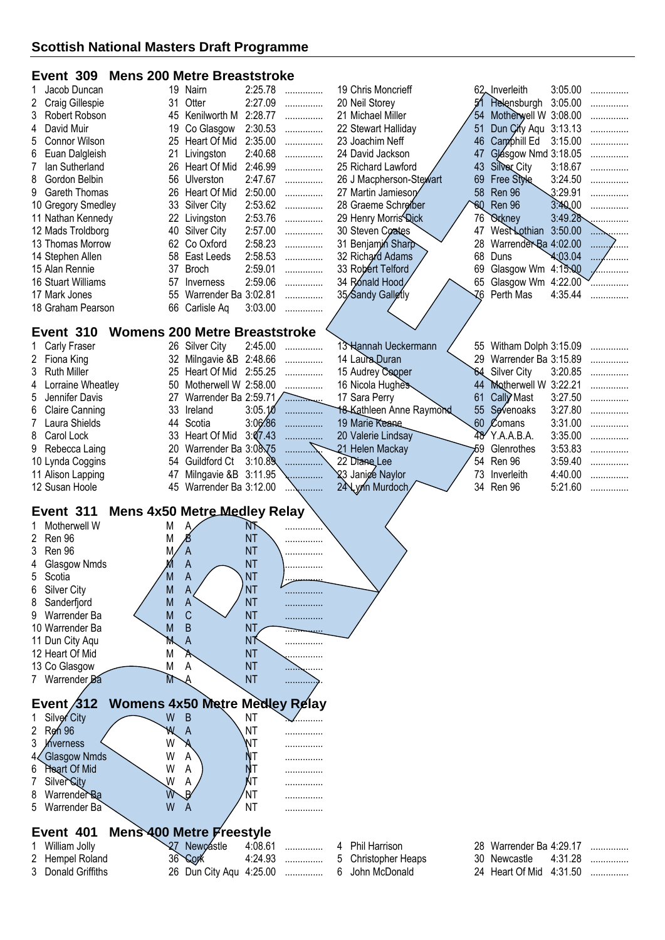# **Event 309 Mens 200 Metre Breaststroke**

| Jacob Duncan<br>1                                  | 19 | Nairn                                  | 2:25.78   | .      | 19 Chris Moncrieff                                  |     | 62 Inverleith                        | 3:05.00 | .       |
|----------------------------------------------------|----|----------------------------------------|-----------|--------|-----------------------------------------------------|-----|--------------------------------------|---------|---------|
| 2<br>Craig Gillespie                               | 31 | Otter                                  | 2:27.09   | .      | 20 Neil Storey                                      |     | 51 Helensburgh                       | 3:05.00 |         |
| 3<br>Robert Robson                                 | 45 | Kenilworth M                           | 2:28.77   | .      | 21 Michael Miller                                   | 54  | Motherwell W 3:08.00                 |         |         |
| David Muir<br>4                                    | 19 | Co Glasgow                             | 2:30.53   | .      | 22 Stewart Halliday                                 | 51  | Dun City Aqu 3:13.13                 |         |         |
| 5<br>Connor Wilson                                 | 25 | Heart Of Mid                           | 2:35.00   | .      | 23 Joachim Neff                                     | 46  | Camphill Ed                          | 3:15.00 |         |
| 6<br>Euan Dalgleish                                | 21 | Livingston                             | 2:40.68   | .      | 24 David Jackson                                    | 47  | Glásgow Nmd 3:18.05                  |         |         |
| 7<br>lan Sutherland                                | 26 | Heart Of Mid                           | 2:46.99   | .      | 25 Richard Lawford                                  | 43  | Silver City                          | 3:18.67 | .       |
| 8<br>Gordon Belbin                                 | 56 | Ulverston                              | 2:47.67   | .      | 26 J Macpherson-Stewart                             | 69  | Free Style                           | 3:24.50 | .       |
| 9<br>Gareth Thomas                                 | 26 | Heart Of Mid                           | 2:50.00   | .      | 27 Martin Jamiesory                                 | 58  | Ren 96                               | 3:29.91 | .       |
| 10 Gregory Smedley                                 | 33 | <b>Silver City</b>                     | 2:53.62   | .      | 28 Graeme Schreiber                                 | 60  | Ren 96                               | 3:40.00 |         |
| 11 Nathan Kennedy                                  | 22 | Livingston                             | 2:53.76   | .      | 29 Henry Morris Dick                                | 76  | <b><i><u>Orkney</u></i></b>          | 3:49.28 |         |
| 12 Mads Troldborg                                  | 40 | <b>Silver City</b>                     | 2:57.00   | .      | 30 Steven Coates                                    | 47  | WestNothian                          | 3:50.00 |         |
| 13 Thomas Morrow                                   | 62 | Co Oxford                              | 2:58.23   | .      | 31 Benjamin Sharp                                   | 28  | Warrender Ba 4:02.00                 |         | 1.1.1.1 |
| 14 Stephen Allen                                   | 58 | East Leeds                             | 2:58.53   | .      | 32 Richard Adams                                    | 68  | Duns                                 | 4:03.04 |         |
| 15 Alan Rennie                                     | 37 | <b>Broch</b>                           | 2:59.01   | .      | 33 Robert Telford                                   | 69  | Glasgow Wm 4:15:00                   |         |         |
| 16 Stuart Williams                                 | 57 | Inverness                              | 2:59.06   | .      | 34 Ronald Hood                                      | 65  | Glasgow Wm 4:22.00                   |         |         |
| 17 Mark Jones                                      | 55 | Warrender Ba 3:02.81                   |           | .      | 35/Sandy Galletly                                   | -76 | Perth Mas                            | 4:35.44 |         |
| 18 Graham Pearson                                  |    | 66 Carlisle Aq                         | 3:03.00   | .      |                                                     |     |                                      |         |         |
|                                                    |    |                                        |           |        |                                                     |     |                                      |         |         |
| Event 310                                          |    | <b>Womens 200 Metre Breaststroke</b>   |           |        |                                                     |     |                                      |         |         |
| Carly Fraser                                       |    | 26 Silver City                         | 2:45.00   | .      | 13 Hannah Ueckermann                                |     | 55 Witham Dolph 3:15.09              |         |         |
| 2 Fiona King                                       | 32 | Milngavie &B 2:48.66                   |           | .      | 14 Laura Duran                                      | 29  | Warrender Ba 3:15.89                 |         |         |
| 3<br><b>Ruth Miller</b>                            | 25 | Heart Of Mid                           | 2:55.25   | .      | 15 Audrey Cooper                                    | 64  | Silver City                          | 3:20.85 |         |
| Lorraine Wheatley<br>4                             | 50 | Motherwell W 2:58.00                   |           | .      | 16 Nicola Hughes                                    | 44  | Motherwell W 3:22.21                 |         |         |
| 5<br>Jennifer Davis                                | 27 | Warrender Ba 2:59.71                   |           | .      | 17 Sara Perry                                       | 61  | Cally Mast                           | 3:27.50 |         |
| <b>Claire Canning</b><br>6                         | 33 | Ireland                                | 3:05.10   | .      | 18-Kathleen Anne Raymond                            | 55  | Sevenoaks                            | 3:27.80 |         |
| Laura Shields<br>7                                 |    | 44 Scotia                              | 3:06.86   | .      | 19 Marie Keane                                      |     | 60 Comans                            | 3:31.00 |         |
| 8<br>Carol Lock                                    |    | 33 Heart Of Mid                        | 3:07.43   |        | 20 Valerie Lindsay                                  | 48' | Y.A.A.B.A.                           | 3:35.00 |         |
| 9<br>Rebecca Laing                                 | 20 | Warrender Ba 3:08.75                   |           |        | 21 Helen Mackay                                     | 59  | Glenrothes                           | 3:53.83 | .       |
| 10 Lynda Coggins                                   | 54 | Guildford Ct                           | 3:10.89   |        | 22 Diane Lee                                        | 54  | Ren 96                               | 3:59.40 | .       |
|                                                    | 47 | Milngavie &B 3:11.95                   |           | .      | 23 Janice Naylor                                    | 73  | Inverleith                           | 4:40.00 |         |
|                                                    |    |                                        |           |        |                                                     |     |                                      |         | .       |
| 11 Alison Lapping                                  |    |                                        |           |        |                                                     |     |                                      |         |         |
| 12 Susan Hoole                                     | 45 | Warrender Ba 3:12.00                   |           |        | 24 Lynn Murdoch                                     | 34  | Ren 96                               | 5:21.60 | .       |
|                                                    |    |                                        |           |        |                                                     |     |                                      |         |         |
| Event 311                                          |    | <b>Mens 4x50 Metre Medley Relay</b>    |           |        |                                                     |     |                                      |         |         |
| Motherwell W                                       | М  |                                        | NF-       |        |                                                     |     |                                      |         |         |
| Ren 96<br>2                                        | M  |                                        | <b>NT</b> |        |                                                     |     |                                      |         |         |
| 3<br>Ren 96                                        | M  | A                                      | <b>NT</b> |        |                                                     |     |                                      |         |         |
| Glasgow Nmds<br>4                                  |    | A                                      | <b>NT</b> | .      |                                                     |     |                                      |         |         |
| 5<br>Scotia                                        | M  | A                                      | <b>NT</b> | ↙      |                                                     |     |                                      |         |         |
| <b>Silver City</b><br>6                            | M  | A                                      | <b>NT</b> |        |                                                     |     |                                      |         |         |
| Sanderfjord<br>8                                   | Μ  | A                                      | <b>NT</b> | .      |                                                     |     |                                      |         |         |
| Warrender Ba<br>9                                  | M  | $\mathsf C$                            | <b>NT</b> | .      |                                                     |     |                                      |         |         |
| 10 Warrender Ba                                    | Μ  | B                                      | <b>NT</b> |        |                                                     |     |                                      |         |         |
| 11 Dun City Aqu                                    | M  | A                                      | NŤ        |        |                                                     |     |                                      |         |         |
| 12 Heart Of Mid                                    | M  | А                                      | <b>NT</b> | .      |                                                     |     |                                      |         |         |
| 13 Co Glasgow                                      | М  | A                                      | <b>NT</b> |        |                                                     |     |                                      |         |         |
| 7 Warrender Ba                                     | М  |                                        | <b>NT</b> | .      |                                                     |     |                                      |         |         |
|                                                    |    |                                        |           |        |                                                     |     |                                      |         |         |
| Event $/312$                                       |    | <b>Womens 4x50 Metre Medley Relay</b>  |           |        |                                                     |     |                                      |         |         |
| Silver City                                        | W  | B                                      | <b>NT</b> |        |                                                     |     |                                      |         |         |
| 2<br><b>Rgh 96</b>                                 | W  | A                                      | ΝT        | .      |                                                     |     |                                      |         |         |
| 3<br>Mverness                                      | W  |                                        | NT        |        |                                                     |     |                                      |         |         |
| Glasgow Nmds<br>4                                  | W  | Α                                      |           |        |                                                     |     |                                      |         |         |
| Heart Of Mid<br>6                                  | W  | A                                      |           |        |                                                     |     |                                      |         |         |
| Silver City<br>7                                   | W  | Α                                      | ŃΤ        |        |                                                     |     |                                      |         |         |
| Warrender Ba<br>8                                  | W  |                                        | 'NΤ       | .      |                                                     |     |                                      |         |         |
| Warrender Ba<br>5                                  | W  | A                                      | <b>NT</b> | .      |                                                     |     |                                      |         |         |
|                                                    |    |                                        |           |        |                                                     |     |                                      |         |         |
| Event 401                                          |    | Mens 400 Metre Freestyle               |           |        |                                                     |     |                                      |         |         |
| William Jolly                                      |    | 27 Newçástle                           | 4:08.61   | .      | Phil Harrison<br>4                                  | 28  | Warrender Ba 4:29.17                 |         |         |
| Hempel Roland<br>2<br><b>Donald Griffiths</b><br>3 | 36 | <b>Sork</b><br>26 Dun City Aqu 4:25.00 | 4:24.93   | .<br>. | 5<br><b>Christopher Heaps</b><br>John McDonald<br>6 | 30  | Newcastle<br>24 Heart Of Mid 4:31.50 | 4:31.28 | .<br>.  |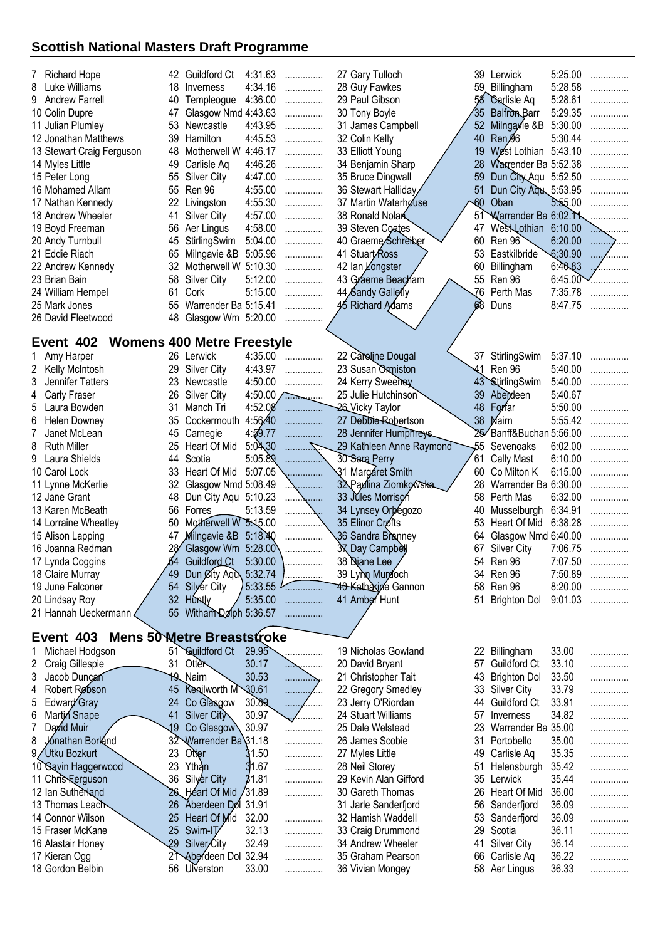| <b>Richard Hope</b>              | 42.             | Guildford Ct                      | 4:31.63 | .                | 27 Gary Tulloch             | 39              | Lerwick              | 5:25.00 |   |
|----------------------------------|-----------------|-----------------------------------|---------|------------------|-----------------------------|-----------------|----------------------|---------|---|
| 8<br>Luke Williams               | 18              | Inverness                         | 4:34.16 | .                | 28 Guy Fawkes               | 59              | Billingham           | 5:28.58 | . |
| 9 Andrew Farrell                 | 40              | Templeogue                        | 4:36.00 | .                | 29 Paul Gibson              | 58              | Carlisle Aq          | 5:28.61 | . |
| 10 Colin Dupre                   | 47              | Glasgow Nmd 4:43.63               |         | .                | 30 Tony Boyle               | '35             | <b>Balfron Barr</b>  | 5:29.35 | . |
| 11 Julian Plumley                | 53              | Newcastle                         | 4:43.95 | .                | 31 James Campbell           | 52              | Milngayie &B         | 5:30.00 | . |
| 12 Jonathan Matthews             | 39              | Hamilton                          | 4:45.53 | .                | 32 Colin Kelly              | 40              | Ren <sup>g6</sup>    | 5:30.44 |   |
| 13 Stewart Craig Ferguson        | 48              | Motherwell W                      | 4:46.17 | .                | 33 Elliott Young            | 19              | West Lothian 5:43.10 |         |   |
| 14 Myles Little                  | 49              | Carlisle Aq                       | 4:46.26 | .                | 34 Benjamin Sharp           | 28              | Warrender Ba 5:52.38 |         |   |
| 15 Peter Long                    | 55              | <b>Silver City</b>                | 4:47.00 | .                | 35 Bruce Dingwall           | 59              | Dun City Aqu 5:52.50 |         |   |
| 16 Mohamed Allam                 | 55              | Ren 96                            | 4:55.00 | .                | 36 Stewart Halliday         | 51              | Dun City Ago 5:53.95 |         |   |
| 17 Nathan Kennedy                | 22              | Livingston                        | 4:55.30 | .                | 37 Martin Waterhouse        | $\sqrt{60}$     | Oban                 | 5.55.00 |   |
| 18 Andrew Wheeler                | 41              | <b>Silver City</b>                | 4:57.00 | .                | 38 Ronald Nolar             | 51              | Warrender Ba 6:02. M |         |   |
| 19 Boyd Freeman                  | 56              | Aer Lingus                        | 4:58.00 | .                | 39 Steven Coates            | 47              | West Lothian 6:10.00 |         |   |
| 20 Andy Turnbull                 | 45              | StirlingSwim                      | 5:04.00 | .                | 40 Graeme/Schreiber         | 60              | Ren 96               | 6:20.00 | . |
| 21 Eddie Riach                   | 65              | Milngavie &B                      | 5:05.96 | .                | 41 Stuart/Ross              | 53              | Eastkilbride         | 6:30.90 |   |
| 22 Andrew Kennedy                | 32              | Motherwell W 5:10.30              |         | .                | 42 Ian Longster             | 60              | Billingham           | 6:40.83 | . |
| 23 Brian Bain                    | 58              | <b>Silver City</b>                | 5:12.00 | .                | 43 Graeme Beacham           | 55              | Ren 96               | 6:45.00 |   |
| 24 William Hempel                | 61              | Cork                              | 5:15.00 | .                | 44 Sandy Gallerly           | 76              | Perth Mas            | 7:35.78 | . |
| 25 Mark Jones                    | 55              | Warrender Ba 5:15.41              |         | .                | 45 Richard Adams            | 68              | Duns                 | 8:47.75 |   |
| 26 David Fleetwood               | 48              | Glasgow Wm 5:20.00                |         | .                |                             |                 |                      |         |   |
|                                  |                 |                                   |         |                  |                             |                 |                      |         |   |
| Event 402                        |                 | <b>Womens 400 Metre Freestyle</b> |         |                  |                             |                 |                      |         |   |
| Amy Harper<br>1                  |                 | 26 Lerwick                        | 4:35.00 | .                | 22 Caroline Dougal          |                 | 37 StirlingSwim      | 5:37.10 |   |
| $\overline{2}$<br>Kelly McIntosh | 29              | <b>Silver City</b>                | 4:43.97 | .                | 23 Susan Oxmiston           | -41             | Ren 96               | 5:40.00 |   |
| 3<br>Jennifer Tatters            | 23              | Newcastle                         | 4:50.00 | .                | 24 Kerry Sweenby            | 43 <sup>°</sup> | StirlingSwim         | 5:40.00 |   |
| 4<br><b>Carly Fraser</b>         | 26              | <b>Silver City</b>                |         | $4:50.00$ $\sim$ | 25 Julie Hutchinson         | 39              | Abeideen             | 5:40.67 |   |
| 5<br>Laura Bowden                | 31              | Manch Tri                         | 4:52.08 | .                | 26 Vicky Taylor             | 48              | Forfar               | 5:50.00 | . |
| 6<br><b>Helen Downey</b>         | 35              | Cockermouth                       | 4:56.40 | .                | 27 Debbie-Robertson         | 38              | Mairn                | 5:55.42 | . |
| 7<br>Janet McLean                | 45              | Carnegie                          | 4:59.77 |                  | 28 Jennifer Humphreys       |                 | Banff&Buchan 5:56.00 |         |   |
| 8<br>Ruth Miller                 | 25              | Heart Of Mid                      | 5:04,30 |                  | 29 Kathleen Anne Raymond    | 55              | Sevenoaks            | 6:02.00 |   |
| Laura Shields<br>9               | 44              | Scotia                            | 5:05.89 |                  | 30 Sara Perry               | 61              | <b>Cally Mast</b>    | 6:10.00 |   |
| 10 Carol Lock                    | 33              | Heart Of Mid                      | 5:07.05 |                  | 31 Margaret Smith           | 60              | Co Milton K          | 6:15.00 |   |
| 11 Lynne McKerlie                | 32              | Glasgow Nmd 5:08.49               |         |                  | 32 Paulina Ziomkowska       | 28              | Warrender Ba 6:30.00 |         |   |
| 12 Jane Grant                    | 48              | Dun City Aqu 5:10.23              |         |                  | 33 Jules Morrison           | 58              | Perth Mas            | 6:32.00 |   |
| 13 Karen McBeath                 | 56              | Forres                            | 5:13.59 |                  | 34 Lynsey Orbegozo          | 40              | Musselburgh          | 6:34.91 |   |
| 14 Lorraine Wheatley             | 50              | Motherwell W 5:45.00              |         |                  | 35 Elinor Crofts            | 53              | Heart Of Mid         | 6:38.28 |   |
| 15 Alison Lapping                | 47              | Milngavie &B 5:18.40              |         |                  | 36 Sandra Branney           | 64              | Glasgow Nmd 6:40.00  |         |   |
| 16 Joanna Redman                 | 28              | Glasgow Wm 5:28.00                |         |                  | 3 <sub>X</sub> Day Campbell | 67              | Silver City          | 7:06.75 |   |
| 17 Lynda Coggins                 | 54              | Guildford Ct                      | 5:30.00 |                  | 38 Diane Lee                |                 | 54 Ren 96            | 7:07.50 | . |
| 18 Claire Murray                 | 49              | Dun <i>C</i> ity Aqu 5:32.74      |         | .                | 39 Lynn Murdoch             | 34              | Ren 96               | 7:50.89 | . |
| 19 June Falconer                 | 54              | Silyer City                       | 5:33.55 |                  | 40 Katharine Gannon         | 58              | Ren 96               | 8:20.00 | . |
| 20 Lindsay Roy                   | 32              | <b>Huntly</b>                     | 5:35.00 | .                | 41 Amber Hunt               | 51              | <b>Brighton Dol</b>  | 9:01.03 | . |
| 21 Hannah Ueckermann             | 55              | Witham Dolph 5:36.57              |         | .                |                             |                 |                      |         |   |
|                                  |                 |                                   |         |                  |                             |                 |                      |         |   |
| Event 403                        |                 | <b>Mens 50 Metre Breaststroke</b> |         |                  |                             |                 |                      |         |   |
| Michael Hodgson<br>1             |                 | 51 Guildford Ct                   | 29.95   | .                | 19 Nicholas Gowland         |                 | 22 Billingham        | 33.00   | . |
| 2<br>Craig Gillespie             | 31              | Otter                             | 30.17   | . <del>. .</del> | 20 David Bryant             | 57              | <b>Guildford Ct</b>  | 33.10   | . |
| 3<br>Jacob Duncan                |                 | 19 Nairn                          | 30.53   | .                | 21 Christopher Tait         | 43              | <b>Brighton Dol</b>  | 33.50   | . |
| Robert Robson<br>4               | 45              | <b>Kenilworth M</b>               | 30.61   | .<br>.           | 22 Gregory Smedley          | 33              | Silver City          | 33.79   | . |
| 5<br>Edward Gray                 | 24              | Co Glasgow                        | 30.89   | .<br>.           | 23 Jerry O'Riordan          | 44              | Guildford Ct         | 33.91   | . |
| Martin Snape<br>6                | 41              | Silver City                       | 30.97   | .                | 24 Stuart Williams          | 57              | Inverness            | 34.82   | . |
| 7<br>David Muir                  | 19              | Co Glasgow                        | 30.97   | .                | 25 Dale Welstead            | 23              | Warrender Ba 35.00   |         | . |
| 8<br>Jonathan Borland            | 32              | Warrender Ba 31.18                |         | .                | 26 James Scobie             | 31              | Portobello           | 35.00   | . |
| 9/Utku Bozkurt                   | 23              | Otter                             | 31.50   | .                | 27 Myles Little             | 49              | Carlisle Aq          | 35.35   | . |
| 10 Savin Haggerwood              | 23              | Ythan                             | 31.67   | .                | 28 Neil Storey              | 51              | Helensburgh          | 35.42   | . |
| 11 Chris Ferguson                | 36              | Silyer City                       | 31.81   | .                | 29 Kevin Alan Gifford       | 35              | Lerwick              | 35.44   | . |
| 12 Ian Sutherland                |                 | 26 Heart Of Mid / 31.89           |         | .                | 30 Gareth Thomas            | 26              | Heart Of Mid         | 36.00   | . |
| 13 Thomas Leach                  | 26              | Aberdeen Dol 31.91                |         |                  | 31 Jarle Sanderfjord        | 56              | Sanderfjord          | 36.09   | . |
| 14 Connor Wilson                 | 25              | Heart Of Mid                      | 32.00   | .                | 32 Hamish Waddell           | 53              | Sanderfjord          | 36.09   | . |
| 15 Fraser McKane                 | 25              | Swim-IT                           | 32.13   | .                | 33 Craig Drummond           | 29              | Scotia               | 36.11   | . |
| 16 Alastair Honey                | $\overline{29}$ | Silver <sub>City</sub>            | 32.49   | .                | 34 Andrew Wheeler           | 41              | <b>Silver City</b>   | 36.14   | . |
| 17 Kieran Ogg                    | 21              | Aberdeen Dol 32.94                |         | .                | 35 Graham Pearson           | 66              | Carlisle Aq          | 36.22   | . |
| 18 Gordon Belbin                 |                 | 56 Ulverston                      | 33.00   | .                | 36 Vivian Mongey            |                 | 58 Aer Lingus        | 36.33   | . |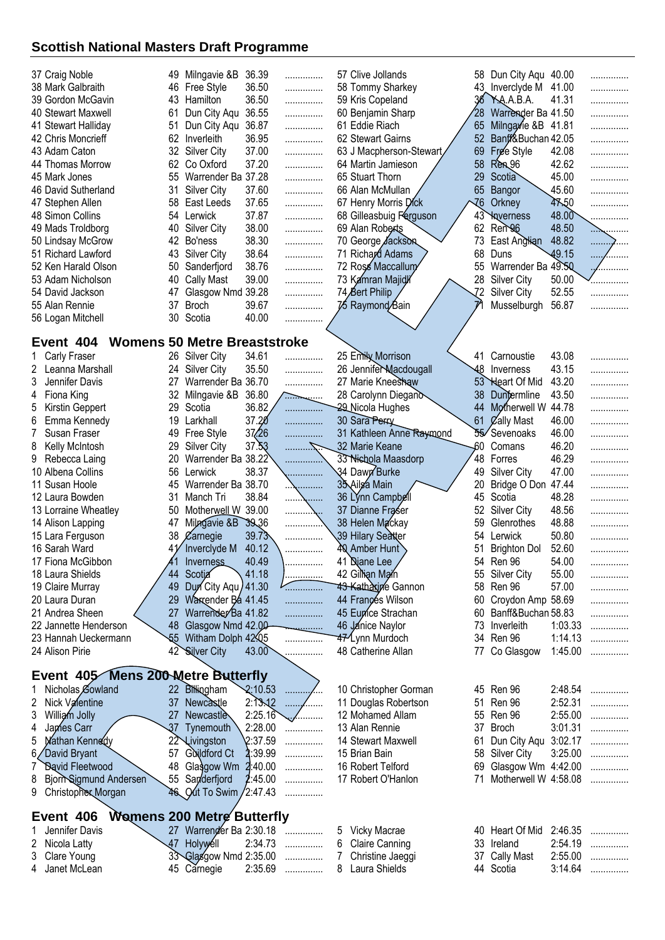| 37 Craig Noble                            |    | 49 Milngavie &B                     | 36.39   | .              | 57 Clive Jollands          |                 | 58 Dun City Aqu 40.00   |         | .                  |
|-------------------------------------------|----|-------------------------------------|---------|----------------|----------------------------|-----------------|-------------------------|---------|--------------------|
| 38 Mark Galbraith                         | 46 | Free Style                          | 36.50   | .              | 58 Tommy Sharkey           |                 | 43. Inverclyde M        | 41.00   | .                  |
| 39 Gordon McGavin                         | 43 | Hamilton                            | 36.50   | .              | 59 Kris Copeland           | 36              | YAA.A.B.A.              | 41.31   | .                  |
| 40 Stewart Maxwell                        | 61 | Dun City Aqu                        | 36.55   | .              | 60 Benjamin Sharp          | 28              | Warrender Ba 41.50      |         | .                  |
| 41 Stewart Halliday                       | 51 | Dun City Aqu                        | 36.87   | .              | 61 Eddie Riach             | 65              | Milngavie &B 41.81      |         | .                  |
| 42 Chris Moncrieff                        | 62 | Inverleith                          | 36.95   | .              | 62 Stewart Gairns          | 52              | Banff&Buchan 42.05      |         | .                  |
| 43 Adam Caton                             | 32 | <b>Silver City</b>                  | 37.00   | .              | 63 J Macpherson-Stewart    | 69              | Free Style              | 42.08   | .                  |
| 44 Thomas Morrow                          | 62 | Co Oxford                           | 37.20   | .              | 64 Martin Jamieson         | 58              | Ren96                   | 42.62   | .                  |
| 45 Mark Jones                             | 55 | Warrender Ba 37.28                  |         | .              | 65 Stuart Thorn            | 29              | Scotia                  | 45.00   | .                  |
| 46 David Sutherland                       | 31 | Silver City                         | 37.60   | .              | 66 Alan McMullan           | 65              | Bangor                  | 45.60   | .                  |
| 47 Stephen Allen                          | 58 | East Leeds                          | 37.65   | .              | 67 Henry Morris Dick       | -76             | Orkney                  | 47.50   | .                  |
| 48 Simon Collins                          | 54 | Lerwick                             | 37.87   | .              | 68 Gilleasbuig Ferguson    | 43              | <b>Naverness</b>        | 48.00   | .                  |
| 49 Mads Troldborg                         | 40 | <b>Silver City</b>                  | 38.00   | .              | 69 Alan Roberts            | 62              | Ren 96                  | 48.50   | <sub>.</sub>       |
| 50 Lindsay McGrow                         | 42 | Bo'ness                             | 38.30   | .              | 70 George <b>Jackson</b>   | 73              | East Anglian            | 48.82   | .<br>$\mathcal{L}$ |
| 51 Richard Lawford                        | 43 | <b>Silver City</b>                  | 38.64   | .              | 71 Richard Adams           | 68              | Duns                    | 49.15   | .                  |
| 52 Ken Harald Olson                       | 50 | Sanderfjord                         | 38.76   | .              | 72 Ross Maccallum          | 55              | Warrender Ba 49.50      |         | .                  |
| 53 Adam Nicholson                         | 40 | <b>Cally Mast</b>                   | 39.00   | .              | 73 Kamran Majidi           | 28              | <b>Silver City</b>      | 50.00   | .                  |
| 54 David Jackson                          | 47 | Glasgow Nmd 39.28                   |         | .              | 74 Bert Philip             | $\overline{1}2$ | <b>Silver City</b>      | 52.55   | .                  |
| 55 Alan Rennie                            | 37 | <b>Broch</b>                        | 39.67   | .              | 7∕5 Raymond∕Bain           |                 | Musselburgh             | 56.87   |                    |
| 56 Logan Mitchell                         | 30 | Scotia                              | 40.00   | .              |                            |                 |                         |         |                    |
|                                           |    |                                     |         |                |                            |                 |                         |         |                    |
| Event 404                                 |    | <b>Womens 50 Metre Breaststroke</b> |         |                |                            |                 |                         |         |                    |
| Carly Fraser                              | 26 | Silver City                         | 34.61   |                | 25 Emily Morrison          | 41              | Carnoustie              | 43.08   |                    |
| 2<br>Leanna Marshall                      | 24 | <b>Silver City</b>                  | 35.50   | .              | 26 Jennifer Macdougall     | -48             | Inverness               | 43.15   | .                  |
| 3<br>Jennifer Davis                       | 27 | Warrender Ba 36.70                  |         | .              | 27 Marie Kneeshaw          | $53^{\circ}$    | Heart Of Mid            | 43.20   | .                  |
|                                           | 32 |                                     |         | .              |                            | 38              |                         | 43.50   | .                  |
| Fiona King<br>4                           |    | Milngavie &B                        | 36.80   | . <del>.</del> | 28 Carolynn Diegano        |                 | Duntermline             |         | .                  |
| 5<br>Kirstin Geppert                      | 29 | Scotia                              | 36.82   | .              | 29 Nicola Hughes           | 44              | Motherwell W            | 44.78   | .                  |
| 6<br>Emma Kennedy                         | 19 | Larkhall                            | 37.20   | .              | 30 Sara Perry              | 61              | <b>Zally Mast</b>       | 46.00   | .                  |
| 7<br>Susan Fraser                         | 49 | Free Style                          | 37/26   | .              | 31 Kathleen Anne Raymond   | 55              | Sevenoaks               | 46.00   | .                  |
| 8<br>Kelly McIntosh                       | 29 | <b>Silver City</b>                  | 37.53   |                | 32 Marie Keane             | -60             | Comans                  | 46.20   | .                  |
| 9<br>Rebecca Laing                        | 20 | Warrender Ba 38.22                  |         |                | 33 Nichola Maasdorp        | 48              | Forres                  | 46.29   | .                  |
| 10 Albena Collins                         | 56 | Lerwick                             | 38.37   | .              | 34 Dawn Burke              | 49              | Silver City             | 47.00   |                    |
| 11 Susan Hoole                            | 45 | Warrender Ba 38.70                  |         |                | 35 Ailsa Main              | 20              | Bridge O Don            | 47.44   | .                  |
| 12 Laura Bowden                           | 31 | Manch Tri                           | 38.84   | .              | 36 Lýnn Campbell           | 45              | Scotia                  | 48.28   |                    |
| 13 Lorraine Wheatley                      | 50 | Motherwell W 39.00                  |         | .              | 37 Dianne Fraser           | 52              | <b>Silver City</b>      | 48.56   | .                  |
| 14 Alison Lapping                         | 47 | Milngavie &B 39.36                  |         |                | 38 Helen Mackay            | 59              | Glenrothes              | 48.88   | .                  |
| 15 Lara Ferguson                          | 38 | $\chi$ arnegie                      | 39.73   |                | 39 Hilary Seatter          | 54              | Lerwick                 | 50.80   | .                  |
| 16 Sarah Ward                             | 41 | Inverclyde M                        | 40.12   |                | 40 Amber Hunt              | 51              | <b>Brighton Dol</b>     | 52.60   | .                  |
| 17 Fiona McGibbon                         |    | Inverness                           | 40.49   |                | 41 Diane Lee               |                 | 54 Ren 96               | 54.00   |                    |
| 18 Laura Shields                          |    | 44 Scotia                           | .41.18  | . <u>.</u>     | 42 Gillian Main            |                 | 55 Silver City          | 55.00   | .                  |
| 19 Claire Murray                          |    | 49 Dun City Agu / 41.30             |         | .              | <b>43 Kathaxine Gannon</b> |                 | 58 Ren 96               | 57.00   | .                  |
| 20 Laura Duran                            |    | 29 Warrender Ba 41.45               |         | .              | 44 Frances Wilson          |                 | 60 Croydon Amp 58.69    |         | .                  |
| 21 Andrea Sheen                           | 27 | Warrender Ba 41.82                  |         | .              | 45 Eupice Strachan         |                 | 60 Banff&Buchan 58.83   |         | .                  |
| 22 Jannette Henderson                     |    | 48 Glasgow Nmd 42.00                |         |                | 46 Janice Naylor           |                 | 73 Inverleith           | 1:03.33 | .                  |
| 23 Hannah Ueckermann                      |    | \$5 Witham Dolph 42.05              |         | .              | 47 Lynn Murdoch            |                 | 34 Ren 96               | 1:14.13 | .                  |
| 24 Alison Pirie                           |    | 42 Silver City                      | 43.00   | .              | 48 Catherine Allan         |                 | 77 Co Glasgow           | 1:45.00 | .                  |
|                                           |    |                                     |         |                |                            |                 |                         |         |                    |
| Event 405 Mens 200 Metre Butterfly        |    |                                     |         |                |                            |                 |                         |         |                    |
| Nicholas Gowland                          |    | 22 Billingham                       | 2:10.53 | ŕ.,            | 10 Christopher Gorman      |                 | 45 Ren 96               | 2:48.54 | .                  |
| 2<br>Nick Valentine                       |    | 37 Newcastle                        | 2:13.12 |                | 11 Douglas Robertson       |                 | 51 Ren 96               | 2:52.31 | .                  |
| 3<br>William Jolly                        |    | 27 Newcastle                        | 2:25.16 | <i></i>        | 12 Mohamed Allam           |                 | 55 Ren 96               | 2:55.00 | .                  |
| 4<br>James Carr                           |    | 37 Tynemouth                        | 2:28.00 | .              | 13 Alan Rennie             | 37              | Broch                   | 3:01.31 | .                  |
| 5<br>Mathan Kennedy                       |    | 22 Livingston                       | 2:37.59 | .              | 14 Stewart Maxwell         | 61              | Dun City Aqu 3:02.17    |         | .                  |
| 6<br>David Bryant                         | 57 | Guildford Ct                        | 2:39.99 | .              | 15 Brian Bain              |                 | 58 Silver City          | 3:25.00 | .                  |
| 7<br><b><i><u>David Fleetwood</u></i></b> | 48 | Glasgow Wm $2:40.00$                |         | .              | 16 Robert Telford          | 69              | Glasgow Wm 4:42.00      |         | .                  |
| 8<br>Bjorn Sigmund Andersen               |    | 55 Sanderfjord                      | 2:45.00 | .              | 17 Robert O'Hanlon         |                 | 71 Motherwell W 4:58.08 |         | .                  |
| 9 Christopher Morgan                      |    | 46 Qut To Swim / 2:47.43            |         | .              |                            |                 |                         |         |                    |
|                                           |    |                                     |         |                |                            |                 |                         |         |                    |
| Event 406                                 |    | <b>Womens 200 Metre Butterfly</b>   |         |                |                            |                 |                         |         |                    |
| Jennifer Davis                            |    | 27 Warrender Ba 2:30.18             |         | .              | 5 Vicky Macrae             |                 | 40 Heart Of Mid         | 2:46.35 | .                  |
| 2<br>Nicola Latty                         |    | 47 Holywell                         | 2:34.73 | .              | 6 Claire Canning           |                 | 33 Ireland              | 2:54.19 | .                  |
| 3<br>Clare Young                          |    | 33 Glasgow Nmd 2:35.00              |         | .              | 7 Christine Jaeggi         |                 | 37 Cally Mast           | 2:55.00 | .                  |
| $\overline{4}$<br>Janet McLean            |    | 45 Carnegie                         |         | 2:35.69        | 8 Laura Shields            |                 | 44 Scotia               | 3:14.64 |                    |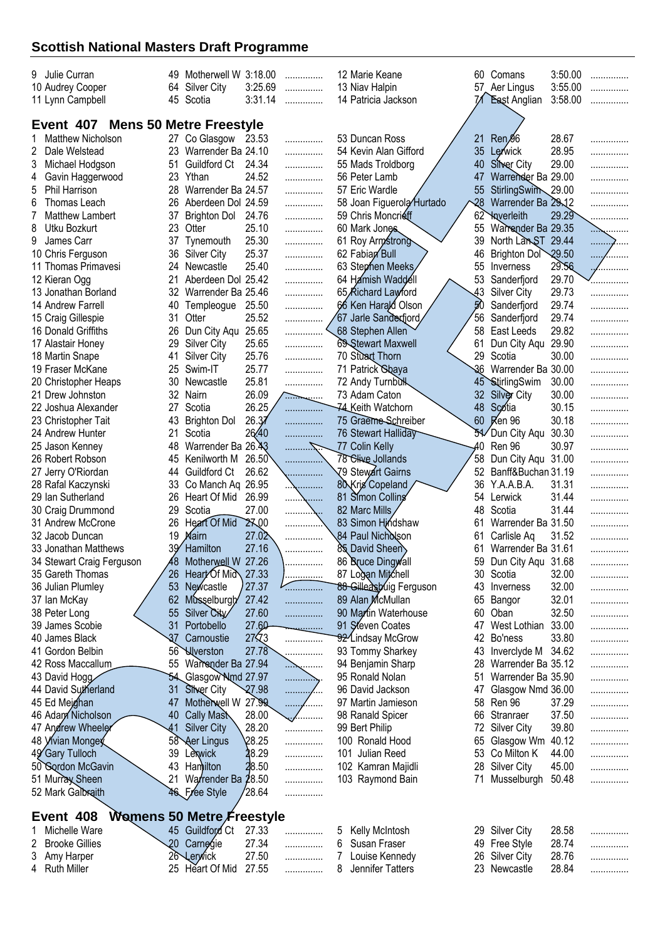| 9 Julie Curran                    |                 | 49 Motherwell W 3:18.00   |              | .                   |   | 12 Marie Keane                 |                 | 60 Comans           | 3:50.00 | .              |
|-----------------------------------|-----------------|---------------------------|--------------|---------------------|---|--------------------------------|-----------------|---------------------|---------|----------------|
| 10 Audrey Cooper                  | 64              | <b>Silver City</b>        | 3:25.69      | .                   |   | 13 Niav Halpin                 |                 | 57 Aer Lingus       | 3:55.00 | .              |
| 11 Lynn Campbell                  |                 | 45 Scotia                 | 3:31.14      | .                   |   | 14 Patricia Jackson            |                 | <b>East Anglian</b> | 3:58.00 | .              |
|                                   |                 |                           |              |                     |   |                                |                 |                     |         |                |
| Event 407 Mens 50 Metre Freestyle |                 |                           |              |                     |   |                                |                 |                     |         |                |
| <b>Matthew Nicholson</b>          |                 | 27 Co Glasgow 23.53       |              | .                   |   | 53 Duncan Ross                 | 21              | Ren <sup>g6</sup>   | 28.67   |                |
| 2<br>Dale Welstead                | 23              | Warrender Ba 24.10        |              | .                   |   | 54 Kevin Alan Gifford          | 35              | Lerwick             | 28.95   |                |
| 3<br>Michael Hodgson              | 51              | Guildford Ct              | 24.34        | .                   |   | 55 Mads Troldborg              | 40              | Silver City         | 29.00   |                |
| 4<br>Gavin Haggerwood             | 23              | Ythan                     | 24.52        | .                   |   | 56 Peter Lamb                  | 47              | Warrender Ba 29.00  |         |                |
| 5<br>Phil Harrison                | 28              | Warrender Ba 24.57        |              | .                   |   | 57 Eric Wardle                 | 55              | StirlingSwim        | 29.00   |                |
| 6<br>Thomas Leach                 | 26              | Aberdeen Dol 24.59        |              | .                   |   | 58 Joan Figuerola Hurtado      | $\overline{28}$ | Warrender Ba 29.12  |         |                |
| 7<br><b>Matthew Lambert</b>       | 37              | <b>Brighton Dol</b>       | 24.76        | .                   |   | 59 Chris Moncrieff             | 62              | <b>X</b> iverleith  | 29.29   | .              |
| 8<br>Utku Bozkurt                 | 23              | Otter                     | 25.10        | .                   |   | 60 Mark Jones                  | 55              | Warrender Ba 29.35  |         | $\sim$         |
| 9<br>James Carr                   | 37              | Tynemouth                 | 25.30        | .                   |   | 61 Roy Armstrong               | 39              | North LanST 29.44   |         | . <del>.</del> |
| 10 Chris Ferguson                 | 36              | <b>Silver City</b>        | 25.37        | .                   |   | 62 Fabian Bull                 | 46              | Brighton Dol        | 29.50   | . /.           |
| 11 Thomas Primavesi               | 24              | Newcastle                 | 25.40        | .                   |   | 63 Stephen Meeks               | 55              | Inverness           | 29.56   |                |
| 12 Kieran Ogg                     | 21              | Aberdeen Dol 25.42        |              | .                   |   | 64 Hamish Waddell              | 53              | Sanderfjord         | 29.70   |                |
| 13 Jonathan Borland               | 32              | Warrender Ba 25.46        |              | .                   |   | 65 Richard Lawford             | 43              | <b>Silver City</b>  | 29.73   |                |
| 14 Andrew Farrell                 | 40              | Templeogue                | 25.50        | .                   |   | 66 Ken Harald Olson            | 50              | Sanderfjord         | 29.74   |                |
| 15 Craig Gillespie                | 31              | Otter                     | 25.52        |                     |   | 67 Jarle Sanderfjord,          | 56              | Sanderfjord         | 29.74   |                |
|                                   |                 |                           |              | .                   |   |                                | 58              |                     | 29.82   |                |
| 16 Donald Griffiths               | 26              | Dun City Aqu 25.65        |              | .                   |   | 68 Stephen Allen               |                 | East Leeds          |         | .              |
| 17 Alastair Honey                 | 29              | <b>Silver City</b>        | 25.65        | .                   |   | 69 Stewart Maxwell             | 61              | Dun City Aqu        | 29.90   |                |
| 18 Martin Snape                   | 41              | Silver City               | 25.76        | .                   |   | 70 Stuart Thorn                | 29              | Scotia              | 30.00   | .              |
| 19 Fraser McKane                  | 25              | Swim-IT                   | 25.77        | .                   |   | 71 Patrick Sbaya               | 36              | Warrender Ba 30.00  |         | .              |
| 20 Christopher Heaps              | 30              | Newcastle                 | 25.81        | .                   |   | 72 Andy Turnbulk               |                 | 45 StirlingSwim     | 30.00   | .              |
| 21 Drew Johnston                  | 32              | Nairn                     | 26.09        | $\overline{\cdots}$ |   | 73 Adam Caton                  | 32              | Silver City         | 30.00   | .              |
| 22 Joshua Alexander               | 27              | Scotia                    | 26.25        | .                   |   | 74 Keith Watchorn              | 48              | Scotia              | 30.15   | .              |
| 23 Christopher Tait               | 43              | <b>Brighton Dol</b>       | 26.37        | .                   |   | 75 Graeme Schreiber            | 60              | Ken 96              | 30.18   |                |
| 24 Andrew Hunter                  | 21              | Scotia                    | 26,40        | .                   |   | 76 Stewart Halliday            |                 | Dun City Aqu        | 30.30   |                |
| 25 Jason Kenney                   | 48              | Warrender Ba              | 26.43        | - 7.                |   | 77 Colin Kelly                 | .40             | Ren 96              | 30.97   |                |
| 26 Robert Robson                  | 45              | Kenilworth M              | 26.50        |                     |   | 78 Clive Jollands              | 58              | Dun City Aqu        | 31.00   |                |
| 27 Jerry O'Riordan                | 44              | Guildford Ct              | 26.62        | .                   |   | √79 Stewart Gairns             | 52              | Banff&Buchan 31.19  |         | .              |
| 28 Rafal Kaczynski                | 33              | Co Manch Aq 26.95         |              |                     |   | 80 Kris Copeland               | 36              | Y.A.A.B.A.          | 31.31   | .              |
| 29 Ian Sutherland                 | 26              | Heart Of Mid              | 26.99        | .                   |   | 81 Simon Colling               | 54              | Lerwick             | 31.44   |                |
| 30 Craig Drummond                 | 29              | Scotia                    | 27.00        | .                   |   | 82 Marc Mills                  | 48              | Scotia              | 31.44   | .              |
|                                   |                 | Heart Of Mid              |              | .                   |   | 83 Simon Hindshaw              |                 |                     |         | .              |
| 31 Andrew McCrone                 | 26              |                           | 27.00        |                     |   |                                | 61              | Warrender Ba 31.50  |         | .              |
| 32 Jacob Duncan                   | 19              | Mairn                     | 27.02        |                     |   | 84 Paul Nich <b>òl</b> son     | 61              | Carlisle Aq         | 31.52   | .              |
| 33 Jonathan Matthews              |                 | Hamilton                  | 27.16        |                     |   | 85 David Sheen                 | 61              | Warrender Ba 31.61  |         | .              |
| 34 Stewart Craig Ferguson         | 48              | Motherwell W              | 27.26        |                     |   | 86 Bruce Dingwall              | 59              | Dun City Aqu 31.68  |         |                |
| 35 Gareth Thomas                  | 26              | Heart Of Mid              | 27.33        | .                   |   | 87 Logan Mitchell              |                 | 30 Scotia           | 32.00   | .              |
| 36 Julian Plumley                 | 53              | Newcastle                 | 27.37        |                     |   | 88 Gilleasbuig Ferguson        | 43              | Inverness           | 32.00   | .              |
| 37 Ian McKay                      | 62              | Musselburgh               | 27.42        | .                   |   | 89 Alan McMullan               | 65              | Bangor              | 32.01   | .              |
| 38 Peter Long                     | 55              | Silver City               | 27.60        | .                   |   | 90 Martin Waterhouse           | 60              | Oban                | 32.50   | .              |
| 39 James Scobie                   | 31              | Portobello                | 27.60        | <u>. .</u>          |   | 91 Steven Coates               | 47              | West Lothian        | 33.00   | .              |
| 40 James Black                    | $\overline{37}$ | Carnoustie                | $27\sqrt{3}$ | .                   |   | 92 <sup>2</sup> Lindsay McGrow | 42              | Bo'ness             | 33.80   | .              |
| 41 Gordon Belbin                  | 56 <sup>°</sup> | <b>Wverston</b>           | 27.78        | .                   |   | 93 Tommy Sharkey               | 43              | Inverclyde M        | 34.62   | .              |
| 42 Ross Maccallum                 | 55              | Warrender Ba 27.94        |              |                     |   | 94 Benjamin Sharp              | 28              | Warrender Ba 35.12  |         | .              |
| 43 David Hogg                     |                 | 54 Glasgow Nmd 27.97      |              | .                   |   | 95 Ronald Nolan                | 51              | Warrender Ba 35.90  |         | .              |
| 44 David Sutherland               | 31              | <b>Silver City</b>        | 27.98        | <br>.               |   | 96 David Jackson               | 47              | Glasgow Nmd 36.00   |         | .              |
| 45 Ed Mejghan                     | 47              | Motherwell W 27.99        |              |                     |   | 97 Martin Jamieson             | 58              | Ren 96              | 37.29   | .              |
| 46 Adam Nicholson                 | 40              | Cally Mash                | 28.00        | .<br>1.1.1.1        |   | 98 Ranald Spicer               | 66              | Stranraer           | 37.50   |                |
|                                   | 41              |                           |              | <u>e.</u>           |   |                                |                 |                     |         | .              |
| 47 Andrew Wheeler                 |                 | <b>Silver City</b>        | 28.20        | .                   |   | 99 Bert Philip                 | 72              | <b>Silver City</b>  | 39.80   | .              |
| 48 <i>Y</i> ivian Mongey          | 58              | <b>Aer Lingus</b>         | 28.25        | .                   |   | 100 Ronald Hood                | 65              | Glasgow Wm          | 40.12   | .              |
| 49 Gary Tulloch                   | 39              | Lexwick                   | 28.29        | .                   |   | 101 Julian Reed                | 53              | Co Milton K         | 44.00   | .              |
| 50 Sordon McGavin                 | 43              | Hamilton                  | 28.50        | .                   |   | 102 Kamran Majidli             | 28              | <b>Silver City</b>  | 45.00   | .              |
| 51 Murray Sheen                   | 21              | Warrender Ba 28.50        |              | .                   |   | 103 Raymond Bain               | 71              | Musselburgh         | 50.48   | .              |
| 52 Mark Galbraith                 |                 | 46 Free Style             | 28.64        | .                   |   |                                |                 |                     |         |                |
| Event 408                         |                 | Womens 50 Metre Freestyle |              |                     |   |                                |                 |                     |         |                |
|                                   |                 |                           |              |                     |   |                                |                 |                     | 28.58   |                |
| Michelle Ware                     |                 | 45 Guildford Ct           | 27.33        | .                   | 5 | Kelly McIntosh                 |                 | 29 Silver City      |         | .              |
| 2<br><b>Brooke Gillies</b>        | 20              | Carnogie                  | 27.34        | .                   | 6 | Susan Fraser                   | 49              | Free Style          | 28.74   | .              |
| Amy Harper<br>3                   |                 | 26 Lerwick                | 27.50        | .                   |   | Louise Kennedy                 | 26              | <b>Silver City</b>  | 28.76   | .              |
| 4<br><b>Ruth Miller</b>           |                 | 25 Heart Of Mid           | 27.55        | .                   | 8 | Jennifer Tatters               |                 | 23 Newcastle        | 28.84   | .              |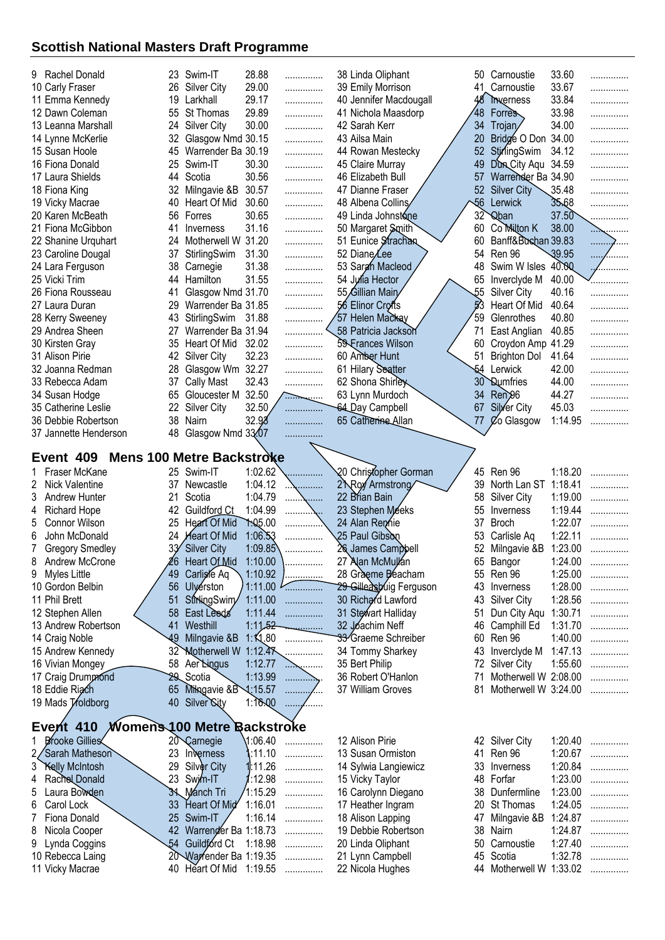| Rachel Donald<br>9                           |                    | 23 Swim-IT                                   | 28.88                |                  | 38 Linda Oliphant                    | 50 Carnoustie                           | 33.60   |                  |
|----------------------------------------------|--------------------|----------------------------------------------|----------------------|------------------|--------------------------------------|-----------------------------------------|---------|------------------|
|                                              |                    |                                              |                      | .                |                                      |                                         |         | .                |
| 10 Carly Fraser                              | 26                 | <b>Silver City</b>                           | 29.00                | .                | 39 Emily Morrison                    | 41 Carnoustie                           | 33.67   | .                |
| 11 Emma Kennedy                              | 19                 | Larkhall                                     | 29.17                | .                | 40 Jennifer Macdougall               | 48<br>Therness                          | 33.84   | .                |
| 12 Dawn Coleman                              | 55                 | St Thomas                                    | 29.89                | .                | 41 Nichola Maasdorp                  | 48<br><b>Forres</b>                     | 33.98   | .                |
| 13 Leanna Marshall                           | 24                 | <b>Silver City</b>                           | 30.00                | .                | 42 Sarah Kerr                        | 34<br>Trojan                            | 34.00   | .                |
| 14 Lynne McKerlie                            | 32                 | Glasgow Nmd 30.15                            |                      | .                | 43 Ailsa Main                        | Bridge O Don<br>20                      | 34.00   | .                |
| 15 Susan Hoole                               | 45                 | Warrender Ba 30.19                           |                      | .                | 44 Rowan Mestecky                    | 52<br>StirlingSwim                      | 34.12   | .                |
| 16 Fiona Donald                              | 25                 | Swim-IT                                      | 30.30                | .                | 45 Claire Murray                     | Dun City Aqu 34.59<br>49                |         | .                |
| 17 Laura Shields                             | 44                 | Scotia                                       | 30.56                | .                | 46 Elizabeth Bull                    | 57<br>Warrender Ba 34.90                |         |                  |
| 18 Fiona King                                | 32                 | Milngavie &B                                 | 30.57                | .                | 47 Dianne Fraser                     | Silver City<br>52                       | 35.48   | .                |
| 19 Vicky Macrae                              | 40                 | Heart Of Mid                                 | 30.60                | .                | 48 Albena Collins                    | $\sqrt{6}$<br>Lerwick                   | 35.68   | .                |
| 20 Karen McBeath                             | 56                 | Forres                                       | 30.65                | .                | 49 Linda Johnstone                   | 32<br><b>Q</b> ban                      | 37.50   | .                |
| 21 Fiona McGibbon                            | 41                 | Inverness                                    | 31.16                | .                | 50 Margaret Smith                    | Co Milton K<br>60                       | 38.00   |                  |
| 22 Shanine Urquhart                          | 24                 | Motherwell W 31.20                           |                      | .                | 51 Eunice Strachan                   | Banff&Bushan 39.83<br>60                |         | . <del>. 2</del> |
| 23 Caroline Dougal                           | 37                 | StirlingSwim                                 | 31.30                | .                | 52 Diane/Lee                         | 54<br>Ren 96                            | 39.95   | . /              |
| 24 Lara Ferguson                             | 38                 | Carnegie                                     | 31.38                | .                | 53 Sargh Macleod                     | Swim W Isles<br>48                      | 40.00   |                  |
| 25 Vicki Trim                                | 44                 | Hamilton                                     | 31.55                | .                | 54 Julia Hector                      | 65<br>Inverclyde M                      | 40.00   |                  |
| 26 Fiona Rousseau                            | 41                 | Glasgow Nmd 31.70                            |                      | .                | 55 Gillian Main                      | $\overline{55}$<br><b>Silver City</b>   | 40.16   | .                |
| 27 Laura Duran                               | 29                 | Warrender Ba 31.85                           |                      | .                | 56 Elinor Crofts                     | 53<br>Heart Of Mid                      | 40.64   | .                |
| 28 Kerry Sweeney                             | 43                 | StirlingSwim                                 | 31.88                | .                | 57 Helen Mackay                      | 59<br>Glenrothes                        | 40.80   | .                |
| 29 Andrea Sheen                              | 27                 | Warrender Ba 31.94                           |                      |                  | 58 Patricia Jackson                  | East Anglian<br>71                      | 40.85   | .                |
| 30 Kirsten Gray                              | 35                 | Heart Of Mid                                 | 32.02                | .                | 59 Frances Wilson                    | Croydon Amp 41.29<br>60                 |         | .                |
| 31 Alison Pirie                              | 42                 | <b>Silver City</b>                           | 32.23                | .                | 60 Amber Hunt                        | 51<br><b>Brighton Dol</b>               | 41.64   | .                |
| 32 Joanna Redman                             | 28                 | Glasgow Wm 32.27                             |                      | .                | 61 Hilary Seatter                    | 54<br>Lerwick                           | 42.00   | .                |
| 33 Rebecca Adam                              | 37                 | <b>Cally Mast</b>                            | 32.43                |                  | 62 Shona Shirley                     | 30 <sup>°</sup><br><b>Dumfries</b>      | 44.00   |                  |
| 34 Susan Hodge                               | 65                 | Gloucester M                                 | 32.50                | .                | 63 Lynn Murdoch                      | 34<br>Ren <sup>26</sup>                 | 44.27   | .                |
| 35 Catherine Leslie                          | 22                 | <b>Silver City</b>                           | 32.50                | . . <del>.</del> | 64 Day Campbell                      | 67<br>Silver City                       | 45.03   | .                |
|                                              | 38                 | Nairn                                        | 32.98                | .                | 65 Catherine Allan                   | Co Glasgow<br>77                        | 1:14.95 | .                |
| 36 Debbie Robertson                          |                    |                                              |                      | .                |                                      |                                         |         | .                |
| 37 Jannette Henderson                        | 48                 | Glasgow Nmd 33.07                            |                      |                  |                                      |                                         |         |                  |
| Event 409 Mens 100 Metre Backstroke          |                    |                                              |                      |                  |                                      |                                         |         |                  |
|                                              |                    |                                              |                      |                  |                                      |                                         |         |                  |
|                                              |                    |                                              |                      |                  |                                      |                                         |         |                  |
| Fraser McKane                                | 25                 | Swim-IT                                      | 1:02.62              |                  | 20 Christopher Gorman                | Ren 96<br>45                            | 1:18.20 | .                |
| 2<br>Nick Valentine                          | 37                 | Newcastle                                    | 1:04.12              | .                | 2 Roy Armstrong                      | 39<br>North Lan ST                      | 1:18.41 | .                |
| 3<br><b>Andrew Hunter</b>                    | 21                 | Scotia                                       | 1:04.79              | .<br>.           | 22 Brian Bain                        | 58<br><b>Silver City</b>                | 1:19.00 | .                |
| <b>Richard Hope</b><br>4                     | 42                 | Guildford Ct                                 | 1:04.99              |                  | 23 Stephen Meeks                     | 55<br>Inverness                         | 1:19.44 | .                |
| Connor Wilson<br>5                           | 25                 | <b>Heart Of Mid</b>                          | 7.05.00              |                  | 24 Alan Remnie                       | 37<br><b>Broch</b>                      | 1:22.07 | .                |
| 6<br>John McDonald                           | 24                 | <b>Heart Of Mid</b>                          | 1:06.53              |                  | 25 Paul Gibson                       | 53<br>Carlisle Aq                       | 1:22.11 | .                |
| <b>Gregory Smedley</b>                       |                    | <b>Silver City</b>                           | 1:09.85              |                  | 26 James Campbell                    | Milngavie &B<br>52                      | 1:23.00 |                  |
| 8<br>Andrew McCrone                          | 26                 | Heart Of Mid                                 | 1:10.00              |                  | 27 Alan McMullan                     | 65<br>Bangor                            | 1:24.00 |                  |
| Myles Little<br>9                            | 49                 | Carligle Aq                                  | 1:10.92              | .                | 28 Graeme Beacham                    | 55 Ren 96                               | 1:25.00 | .                |
| 10 Gordon Belbin                             | 56                 | Ulyerston                                    | 1:11.00              |                  | 29 Gilleasbuig Ferguson              | 43<br>Inverness                         | 1:28.00 | .                |
| 11 Phil Brett                                | 51                 | StirlingSwim                                 | 1:11.00              | .                | 30 Richard Lawford                   | 43<br><b>Silver City</b>                | 1:28.56 | .                |
| 12 Stephen Allen                             | 58                 | East Leeds                                   | 1:11.44              | .                | 31 Stewart Halliday                  | 51<br>Dun City Aqu                      | 1:30.71 | .                |
| 13 Andrew Robertson                          | 41                 | Westhill                                     | 1:11,52              | <u>.</u>         | 32 Joachim Neff                      | 46<br>Camphill Ed                       | 1:31.70 | .                |
|                                              | 49                 |                                              |                      | .                |                                      | 60<br>Ren 96                            | 1:40.00 | .                |
| 14 Craig Noble                               |                    | Milngavie &B                                 | 1:1,80               | .                | 33 Graeme Schreiber                  |                                         |         | .                |
| 15 Andrew Kennedy                            | 32                 | Motherwell W 1:12.47                         |                      |                  | 34 Tommy Sharkey                     | 43<br>Inverclyde M                      | 1:47.13 | .                |
| 16 Vivian Mongey                             | 58                 | Aer Lingus                                   | 1:12.77              | .                | 35 Bert Philip                       | <b>Silver City</b><br>72                | 1:55.60 |                  |
| 17 Craig Drummond                            | 29                 | Scotia                                       | 1:13.99              | .                | 36 Robert O'Hanlon                   | Motherwell W 2:08.00<br>71              |         | .                |
| 18 Eddie Riach                               | 65                 | Mingavie &B                                  | 1:15.57              | .                | 37 William Groves                    | 81<br>Motherwell W 3:24.00              |         |                  |
| 19 Mads Troldborg                            | 40                 | Silver <b>Sity</b>                           | $1:\overline{16.00}$ |                  |                                      |                                         |         |                  |
|                                              |                    |                                              |                      |                  |                                      |                                         |         |                  |
| Event 410 <i>Womens</i> 100 Metre Backstroke |                    |                                              |                      |                  |                                      |                                         |         |                  |
| <b>Prooke Gillies</b>                        | $20^{\circ}$       | Carnegie                                     | 1:06.40              | .                | 12 Alison Pirie                      | 42 Silver City                          | 1:20.40 | .                |
| Sarah Matheson                               | 23                 | Inverness                                    | :11.10               | .                | 13 Susan Ormiston                    | 41 Ren 96                               | 1:20.67 | .                |
| 3<br>Kelly McIntosh                          | 29                 | Silver City                                  | 1:11.26              | .                | 14 Sylwia Langiewicz                 | 33<br>Inverness                         | 1:20.84 | .                |
| Rachol Donald<br>4                           | 23                 | Swim-IT                                      | 1:12.98              | .                | 15 Vicky Taylor                      | 48<br>Forfar                            | 1:23.00 | .                |
| Laura Bowden<br>5                            |                    | 34 Manch Tri                                 | $^{\prime}$ 1:15.29  | .                | 16 Carolynn Diegano                  | 38<br>Dunfermline                       | 1:23.00 | .                |
| Carol Lock<br>6                              | 33                 | Heart Of Mid                                 | 1:16.01              | .                | 17 Heather Ingram                    | 20<br>St Thomas                         | 1:24.05 | .                |
| Fiona Donald<br>7                            | 25                 | Swim-IT                                      | 1:16.14              | .                | 18 Alison Lapping                    | 47<br>Milngavie &B                      | 1:24.87 | .                |
| Nicola Cooper<br>8                           | 42                 | Warrenger Ba 1:18.73                         |                      | .                | 19 Debbie Robertson                  | 38<br>Nairn                             | 1:24.87 | .                |
| Lynda Coggins<br>9                           | .54                | Guildford Ct                                 | 1:18.98              | .                | 20 Linda Oliphant                    | 50<br>Carnoustie                        | 1:27.40 | .                |
| 10 Rebecca Laing<br>11 Vicky Macrae          | $20^{\circ}$<br>40 | Warfender Ba 1:19.35<br>Heart Of Mid 1:19.55 |                      | .<br>.           | 21 Lynn Campbell<br>22 Nicola Hughes | Scotia<br>45<br>44 Motherwell W 1:33.02 | 1:32.78 | .                |